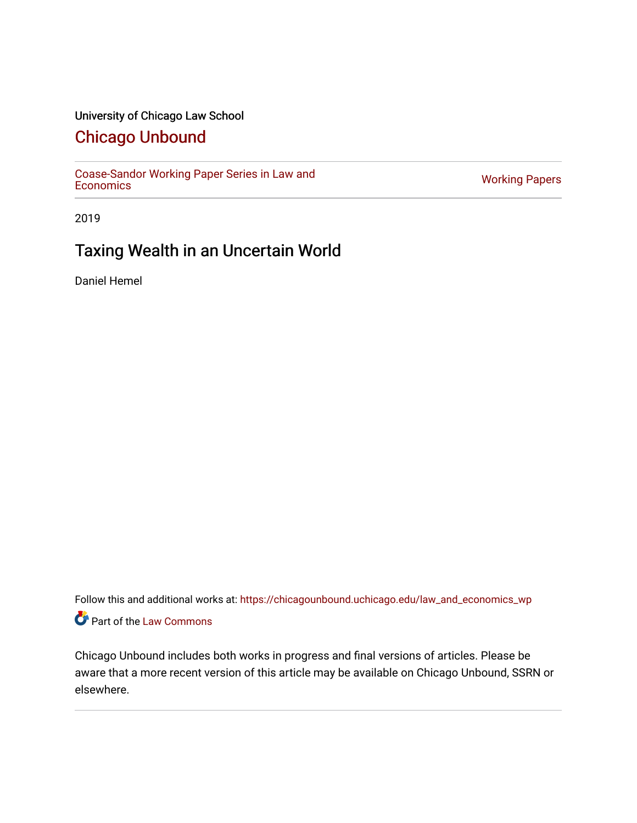# University of Chicago Law School

# [Chicago Unbound](https://chicagounbound.uchicago.edu/)

[Coase-Sandor Working Paper Series in Law and](https://chicagounbound.uchicago.edu/law_and_economics_wp) [Economics](https://chicagounbound.uchicago.edu/law_and_economics_wp) [Working Papers](https://chicagounbound.uchicago.edu/working_papers) 

2019

# Taxing Wealth in an Uncertain World

Daniel Hemel

Follow this and additional works at: [https://chicagounbound.uchicago.edu/law\\_and\\_economics\\_wp](https://chicagounbound.uchicago.edu/law_and_economics_wp?utm_source=chicagounbound.uchicago.edu%2Flaw_and_economics_wp%2F52&utm_medium=PDF&utm_campaign=PDFCoverPages)  Part of the [Law Commons](http://network.bepress.com/hgg/discipline/578?utm_source=chicagounbound.uchicago.edu%2Flaw_and_economics_wp%2F52&utm_medium=PDF&utm_campaign=PDFCoverPages)

Chicago Unbound includes both works in progress and final versions of articles. Please be aware that a more recent version of this article may be available on Chicago Unbound, SSRN or elsewhere.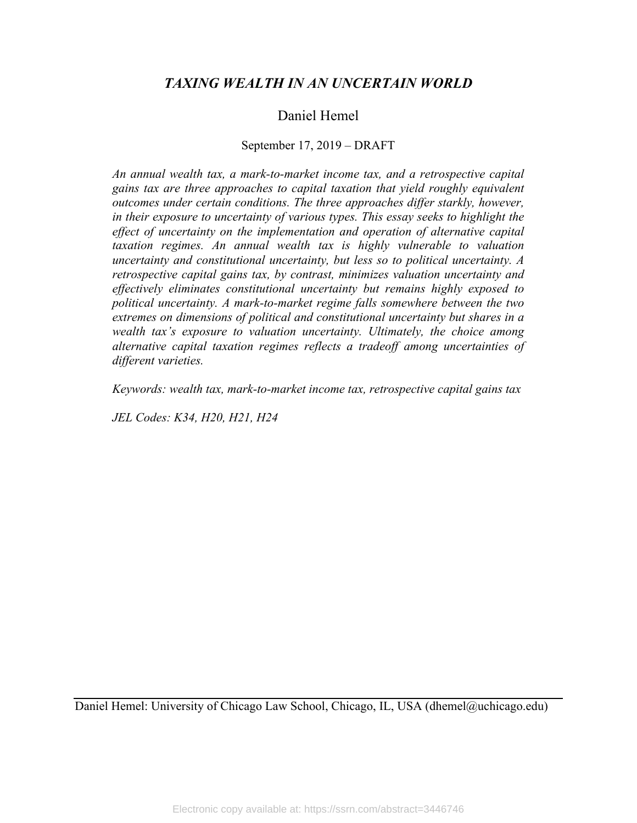# *TAXING WEALTH IN AN UNCERTAIN WORLD*

# Daniel Hemel

## September 17, 2019 – DRAFT

*An annual wealth tax, a mark-to-market income tax, and a retrospective capital gains tax are three approaches to capital taxation that yield roughly equivalent outcomes under certain conditions. The three approaches differ starkly, however, in their exposure to uncertainty of various types. This essay seeks to highlight the effect of uncertainty on the implementation and operation of alternative capital taxation regimes. An annual wealth tax is highly vulnerable to valuation uncertainty and constitutional uncertainty, but less so to political uncertainty. A retrospective capital gains tax, by contrast, minimizes valuation uncertainty and effectively eliminates constitutional uncertainty but remains highly exposed to political uncertainty. A mark-to-market regime falls somewhere between the two extremes on dimensions of political and constitutional uncertainty but shares in a wealth tax's exposure to valuation uncertainty. Ultimately, the choice among alternative capital taxation regimes reflects a tradeoff among uncertainties of different varieties.*

*Keywords: wealth tax, mark-to-market income tax, retrospective capital gains tax*

*JEL Codes: K34, H20, H21, H24*

Daniel Hemel: University of Chicago Law School, Chicago, IL, USA (dhemel@uchicago.edu)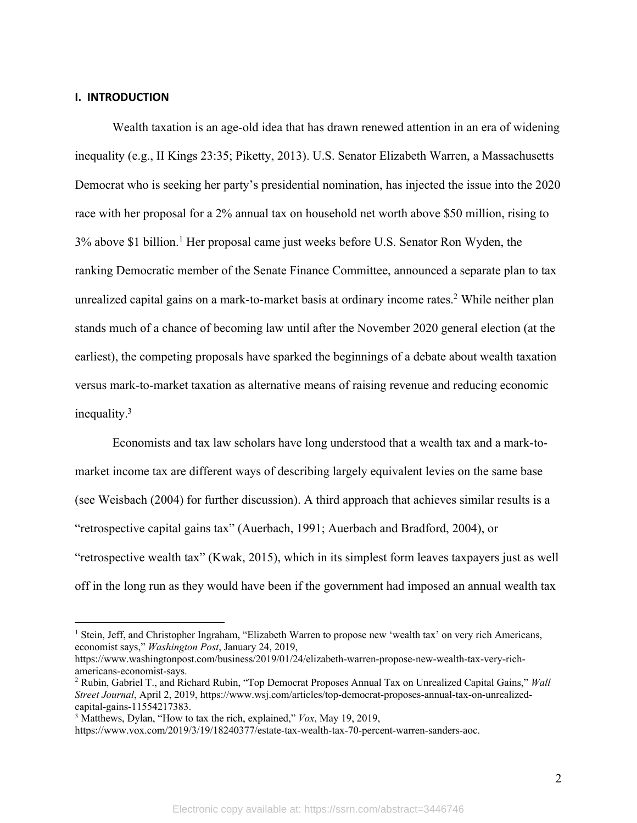## **I. INTRODUCTION**

Wealth taxation is an age-old idea that has drawn renewed attention in an era of widening inequality (e.g., II Kings 23:35; Piketty, 2013). U.S. Senator Elizabeth Warren, a Massachusetts Democrat who is seeking her party's presidential nomination, has injected the issue into the 2020 race with her proposal for a 2% annual tax on household net worth above \$50 million, rising to 3% above \$1 billion. <sup>1</sup> Her proposal came just weeks before U.S. Senator Ron Wyden, the ranking Democratic member of the Senate Finance Committee, announced a separate plan to tax unrealized capital gains on a mark-to-market basis at ordinary income rates. <sup>2</sup> While neither plan stands much of a chance of becoming law until after the November 2020 general election (at the earliest), the competing proposals have sparked the beginnings of a debate about wealth taxation versus mark-to-market taxation as alternative means of raising revenue and reducing economic inequality. 3

Economists and tax law scholars have long understood that a wealth tax and a mark-tomarket income tax are different ways of describing largely equivalent levies on the same base (see Weisbach (2004) for further discussion). A third approach that achieves similar results is a "retrospective capital gains tax" (Auerbach, 1991; Auerbach and Bradford, 2004), or "retrospective wealth tax" (Kwak, 2015), which in its simplest form leaves taxpayers just as well off in the long run as they would have been if the government had imposed an annual wealth tax

<sup>1</sup> Stein, Jeff, and Christopher Ingraham, "Elizabeth Warren to propose new 'wealth tax' on very rich Americans, economist says," *Washington Post*, January 24, 2019,

https://www.washingtonpost.com/business/2019/01/24/elizabeth-warren-propose-new-wealth-tax-very-richamericans-economist-says.

<sup>2</sup> Rubin, Gabriel T., and Richard Rubin, "Top Democrat Proposes Annual Tax on Unrealized Capital Gains," *Wall Street Journal*, April 2, 2019, https://www.wsj.com/articles/top-democrat-proposes-annual-tax-on-unrealizedcapital-gains-11554217383.

<sup>3</sup> Matthews, Dylan, "How to tax the rich, explained," *Vox*, May 19, 2019,

https://www.vox.com/2019/3/19/18240377/estate-tax-wealth-tax-70-percent-warren-sanders-aoc.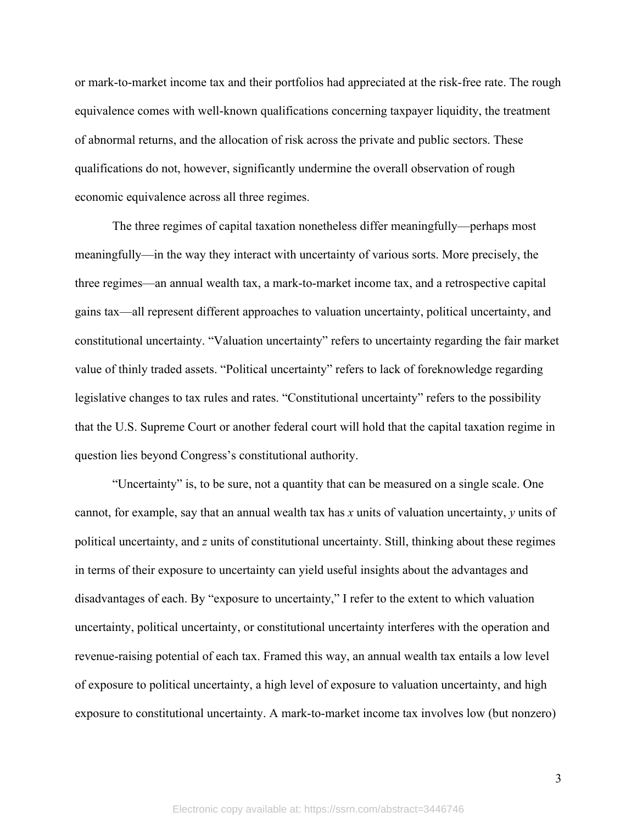or mark-to-market income tax and their portfolios had appreciated at the risk-free rate. The rough equivalence comes with well-known qualifications concerning taxpayer liquidity, the treatment of abnormal returns, and the allocation of risk across the private and public sectors. These qualifications do not, however, significantly undermine the overall observation of rough economic equivalence across all three regimes.

The three regimes of capital taxation nonetheless differ meaningfully—perhaps most meaningfully—in the way they interact with uncertainty of various sorts. More precisely, the three regimes—an annual wealth tax, a mark-to-market income tax, and a retrospective capital gains tax—all represent different approaches to valuation uncertainty, political uncertainty, and constitutional uncertainty. "Valuation uncertainty" refers to uncertainty regarding the fair market value of thinly traded assets. "Political uncertainty" refers to lack of foreknowledge regarding legislative changes to tax rules and rates. "Constitutional uncertainty" refers to the possibility that the U.S. Supreme Court or another federal court will hold that the capital taxation regime in question lies beyond Congress's constitutional authority.

"Uncertainty" is, to be sure, not a quantity that can be measured on a single scale. One cannot, for example, say that an annual wealth tax has *x* units of valuation uncertainty, *y* units of political uncertainty, and *z* units of constitutional uncertainty. Still, thinking about these regimes in terms of their exposure to uncertainty can yield useful insights about the advantages and disadvantages of each. By "exposure to uncertainty," I refer to the extent to which valuation uncertainty, political uncertainty, or constitutional uncertainty interferes with the operation and revenue-raising potential of each tax. Framed this way, an annual wealth tax entails a low level of exposure to political uncertainty, a high level of exposure to valuation uncertainty, and high exposure to constitutional uncertainty. A mark-to-market income tax involves low (but nonzero)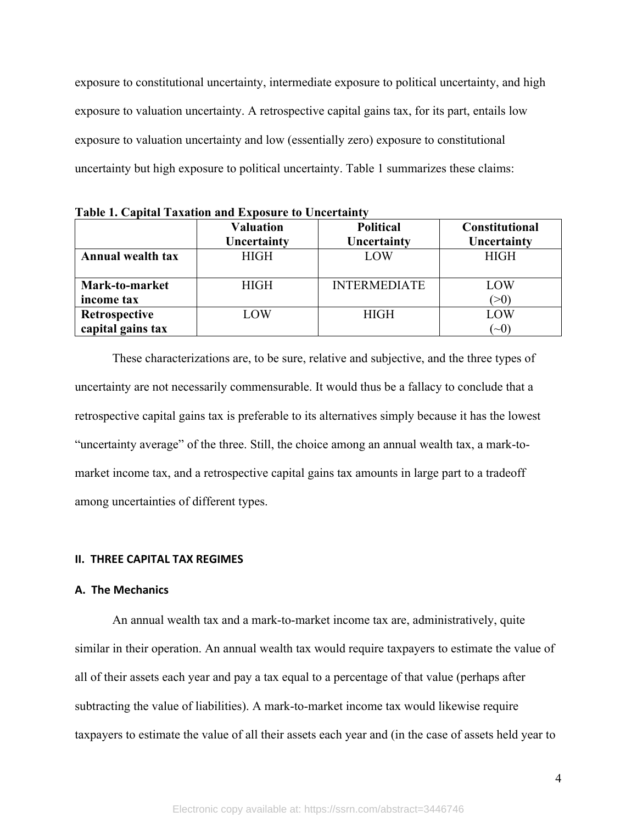exposure to constitutional uncertainty, intermediate exposure to political uncertainty, and high exposure to valuation uncertainty. A retrospective capital gains tax, for its part, entails low exposure to valuation uncertainty and low (essentially zero) exposure to constitutional uncertainty but high exposure to political uncertainty. Table 1 summarizes these claims:

**Valuation Uncertainty Political Uncertainty Constitutional Uncertainty Annual wealth tax**  $\parallel$  HIGH  $\parallel$  LOW  $\parallel$  HIGH **Mark-to-market income tax** HIGH INTERMEDIATE LOW  $(>0)$ **Retrospective capital gains tax** LOW HIGH LOW  $(-0)$ 

**Table 1. Capital Taxation and Exposure to Uncertainty**

These characterizations are, to be sure, relative and subjective, and the three types of uncertainty are not necessarily commensurable. It would thus be a fallacy to conclude that a retrospective capital gains tax is preferable to its alternatives simply because it has the lowest "uncertainty average" of the three. Still, the choice among an annual wealth tax, a mark-tomarket income tax, and a retrospective capital gains tax amounts in large part to a tradeoff among uncertainties of different types.

#### **II. THREE CAPITAL TAX REGIMES**

#### **A. The Mechanics**

An annual wealth tax and a mark-to-market income tax are, administratively, quite similar in their operation. An annual wealth tax would require taxpayers to estimate the value of all of their assets each year and pay a tax equal to a percentage of that value (perhaps after subtracting the value of liabilities). A mark-to-market income tax would likewise require taxpayers to estimate the value of all their assets each year and (in the case of assets held year to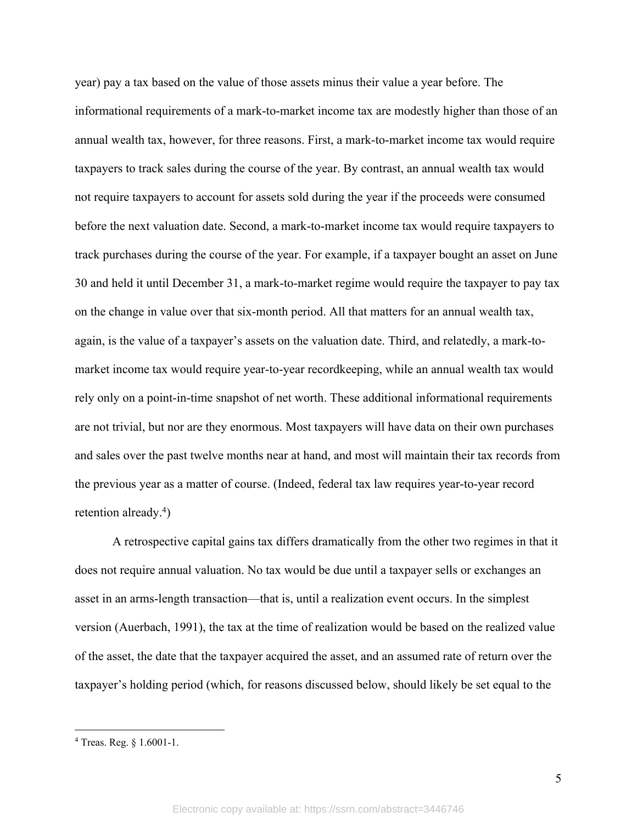year) pay a tax based on the value of those assets minus their value a year before. The informational requirements of a mark-to-market income tax are modestly higher than those of an annual wealth tax, however, for three reasons. First, a mark-to-market income tax would require taxpayers to track sales during the course of the year. By contrast, an annual wealth tax would not require taxpayers to account for assets sold during the year if the proceeds were consumed before the next valuation date. Second, a mark-to-market income tax would require taxpayers to track purchases during the course of the year. For example, if a taxpayer bought an asset on June 30 and held it until December 31, a mark-to-market regime would require the taxpayer to pay tax on the change in value over that six-month period. All that matters for an annual wealth tax, again, is the value of a taxpayer's assets on the valuation date. Third, and relatedly, a mark-tomarket income tax would require year-to-year recordkeeping, while an annual wealth tax would rely only on a point-in-time snapshot of net worth. These additional informational requirements are not trivial, but nor are they enormous. Most taxpayers will have data on their own purchases and sales over the past twelve months near at hand, and most will maintain their tax records from the previous year as a matter of course. (Indeed, federal tax law requires year-to-year record retention already.<sup>4</sup>)

A retrospective capital gains tax differs dramatically from the other two regimes in that it does not require annual valuation. No tax would be due until a taxpayer sells or exchanges an asset in an arms-length transaction—that is, until a realization event occurs. In the simplest version (Auerbach, 1991), the tax at the time of realization would be based on the realized value of the asset, the date that the taxpayer acquired the asset, and an assumed rate of return over the taxpayer's holding period (which, for reasons discussed below, should likely be set equal to the

<sup>4</sup> Treas. Reg. § 1.6001-1.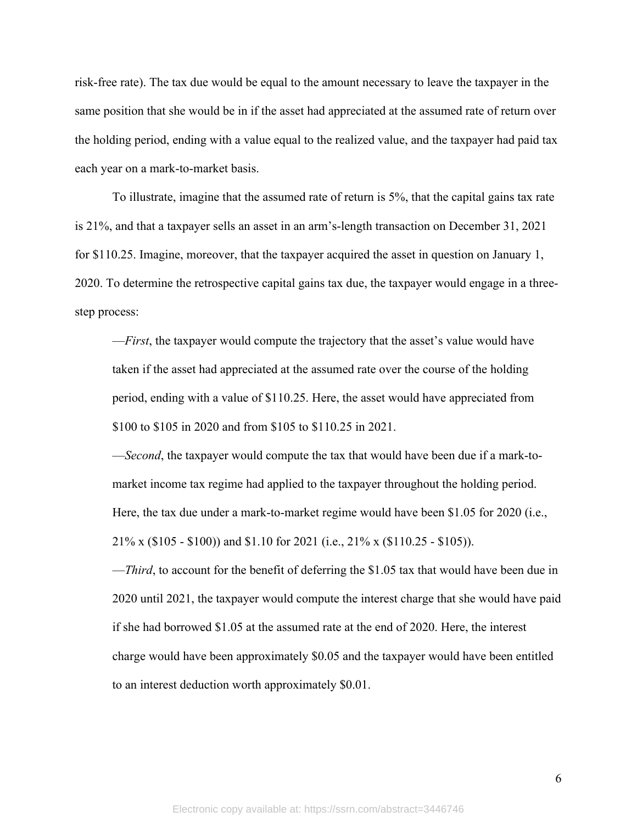risk-free rate). The tax due would be equal to the amount necessary to leave the taxpayer in the same position that she would be in if the asset had appreciated at the assumed rate of return over the holding period, ending with a value equal to the realized value, and the taxpayer had paid tax each year on a mark-to-market basis.

To illustrate, imagine that the assumed rate of return is 5%, that the capital gains tax rate is 21%, and that a taxpayer sells an asset in an arm's-length transaction on December 31, 2021 for \$110.25. Imagine, moreover, that the taxpayer acquired the asset in question on January 1, 2020. To determine the retrospective capital gains tax due, the taxpayer would engage in a threestep process:

—*First*, the taxpayer would compute the trajectory that the asset's value would have taken if the asset had appreciated at the assumed rate over the course of the holding period, ending with a value of \$110.25. Here, the asset would have appreciated from \$100 to \$105 in 2020 and from \$105 to \$110.25 in 2021.

—*Second*, the taxpayer would compute the tax that would have been due if a mark-tomarket income tax regime had applied to the taxpayer throughout the holding period. Here, the tax due under a mark-to-market regime would have been \$1.05 for 2020 (i.e., 21% x (\$105 - \$100)) and \$1.10 for 2021 (i.e., 21% x (\$110.25 - \$105)).

—*Third*, to account for the benefit of deferring the \$1.05 tax that would have been due in 2020 until 2021, the taxpayer would compute the interest charge that she would have paid if she had borrowed \$1.05 at the assumed rate at the end of 2020. Here, the interest charge would have been approximately \$0.05 and the taxpayer would have been entitled to an interest deduction worth approximately \$0.01.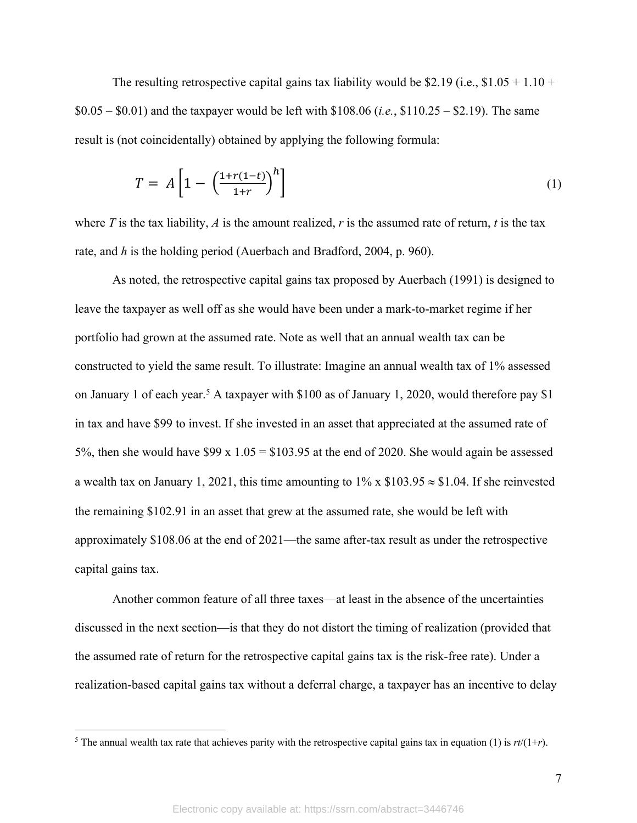The resulting retrospective capital gains tax liability would be \$2.19 (i.e.,  $$1.05 + 1.10 +$ \$0.05 – \$0.01) and the taxpayer would be left with \$108.06 (*i.e.*, \$110.25 – \$2.19). The same result is (not coincidentally) obtained by applying the following formula:

$$
T = A \left[ 1 - \left( \frac{1 + r(1 - t)}{1 + r} \right)^h \right] \tag{1}
$$

where  $T$  is the tax liability,  $A$  is the amount realized,  $r$  is the assumed rate of return,  $t$  is the tax rate, and *h* is the holding period (Auerbach and Bradford, 2004, p. 960).

As noted, the retrospective capital gains tax proposed by Auerbach (1991) is designed to leave the taxpayer as well off as she would have been under a mark-to-market regime if her portfolio had grown at the assumed rate. Note as well that an annual wealth tax can be constructed to yield the same result. To illustrate: Imagine an annual wealth tax of 1% assessed on January 1 of each year.<sup>5</sup> A taxpayer with \$100 as of January 1, 2020, would therefore pay \$1 in tax and have \$99 to invest. If she invested in an asset that appreciated at the assumed rate of 5%, then she would have \$99 x  $1.05 = $103.95$  at the end of 2020. She would again be assessed a wealth tax on January 1, 2021, this time amounting to  $1\%$  x \$103.95  $\approx$  \$1.04. If she reinvested the remaining \$102.91 in an asset that grew at the assumed rate, she would be left with approximately \$108.06 at the end of 2021—the same after-tax result as under the retrospective capital gains tax.

Another common feature of all three taxes—at least in the absence of the uncertainties discussed in the next section—is that they do not distort the timing of realization (provided that the assumed rate of return for the retrospective capital gains tax is the risk-free rate). Under a realization-based capital gains tax without a deferral charge, a taxpayer has an incentive to delay

<sup>&</sup>lt;sup>5</sup> The annual wealth tax rate that achieves parity with the retrospective capital gains tax in equation (1) is  $rt/(1+r)$ .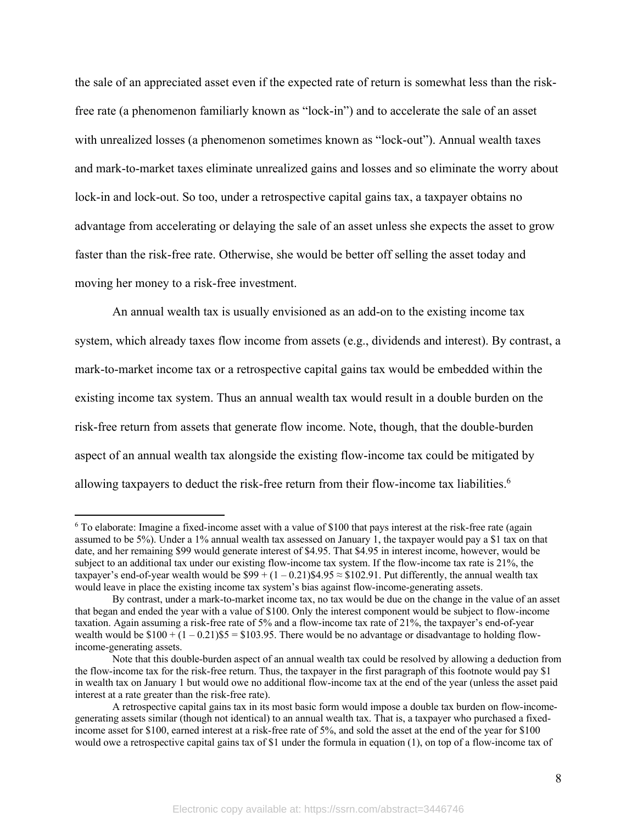the sale of an appreciated asset even if the expected rate of return is somewhat less than the riskfree rate (a phenomenon familiarly known as "lock-in") and to accelerate the sale of an asset with unrealized losses (a phenomenon sometimes known as "lock-out"). Annual wealth taxes and mark-to-market taxes eliminate unrealized gains and losses and so eliminate the worry about lock-in and lock-out. So too, under a retrospective capital gains tax, a taxpayer obtains no advantage from accelerating or delaying the sale of an asset unless she expects the asset to grow faster than the risk-free rate. Otherwise, she would be better off selling the asset today and moving her money to a risk-free investment.

An annual wealth tax is usually envisioned as an add-on to the existing income tax system, which already taxes flow income from assets (e.g., dividends and interest). By contrast, a mark-to-market income tax or a retrospective capital gains tax would be embedded within the existing income tax system. Thus an annual wealth tax would result in a double burden on the risk-free return from assets that generate flow income. Note, though, that the double-burden aspect of an annual wealth tax alongside the existing flow-income tax could be mitigated by allowing taxpayers to deduct the risk-free return from their flow-income tax liabilities.<sup>6</sup>

 $6$  To elaborate: Imagine a fixed-income asset with a value of \$100 that pays interest at the risk-free rate (again assumed to be 5%). Under a 1% annual wealth tax assessed on January 1, the taxpayer would pay a \$1 tax on that date, and her remaining \$99 would generate interest of \$4.95. That \$4.95 in interest income, however, would be subject to an additional tax under our existing flow-income tax system. If the flow-income tax rate is 21%, the taxpayer's end-of-year wealth would be  $$99 + (1 - 0.21)$ \$4.95  $\approx$  \$102.91. Put differently, the annual wealth tax would leave in place the existing income tax system's bias against flow-income-generating assets.

By contrast, under a mark-to-market income tax, no tax would be due on the change in the value of an asset that began and ended the year with a value of \$100. Only the interest component would be subject to flow-income taxation. Again assuming a risk-free rate of 5% and a flow-income tax rate of 21%, the taxpayer's end-of-year wealth would be  $$100 + (1 - 0.21)$ \$5 = \$103.95. There would be no advantage or disadvantage to holding flowincome-generating assets.

Note that this double-burden aspect of an annual wealth tax could be resolved by allowing a deduction from the flow-income tax for the risk-free return. Thus, the taxpayer in the first paragraph of this footnote would pay \$1 in wealth tax on January 1 but would owe no additional flow-income tax at the end of the year (unless the asset paid interest at a rate greater than the risk-free rate).

A retrospective capital gains tax in its most basic form would impose a double tax burden on flow-incomegenerating assets similar (though not identical) to an annual wealth tax. That is, a taxpayer who purchased a fixedincome asset for \$100, earned interest at a risk-free rate of 5%, and sold the asset at the end of the year for \$100 would owe a retrospective capital gains tax of \$1 under the formula in equation (1), on top of a flow-income tax of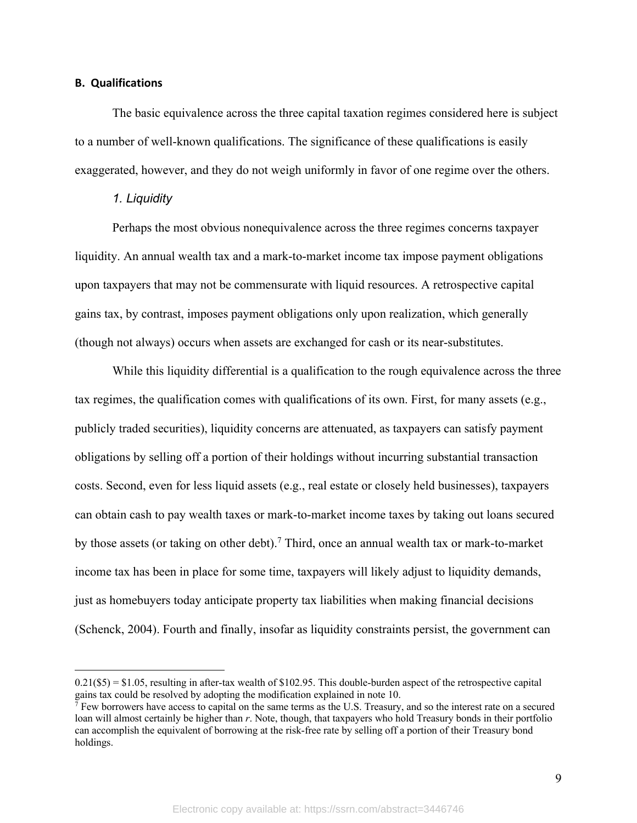#### **B. Qualifications**

The basic equivalence across the three capital taxation regimes considered here is subject to a number of well-known qualifications. The significance of these qualifications is easily exaggerated, however, and they do not weigh uniformly in favor of one regime over the others.

#### *1. Liquidity*

Perhaps the most obvious nonequivalence across the three regimes concerns taxpayer liquidity. An annual wealth tax and a mark-to-market income tax impose payment obligations upon taxpayers that may not be commensurate with liquid resources. A retrospective capital gains tax, by contrast, imposes payment obligations only upon realization, which generally (though not always) occurs when assets are exchanged for cash or its near-substitutes.

While this liquidity differential is a qualification to the rough equivalence across the three tax regimes, the qualification comes with qualifications of its own. First, for many assets (e.g., publicly traded securities), liquidity concerns are attenuated, as taxpayers can satisfy payment obligations by selling off a portion of their holdings without incurring substantial transaction costs. Second, even for less liquid assets (e.g., real estate or closely held businesses), taxpayers can obtain cash to pay wealth taxes or mark-to-market income taxes by taking out loans secured by those assets (or taking on other debt). <sup>7</sup> Third, once an annual wealth tax or mark-to-market income tax has been in place for some time, taxpayers will likely adjust to liquidity demands, just as homebuyers today anticipate property tax liabilities when making financial decisions (Schenck, 2004). Fourth and finally, insofar as liquidity constraints persist, the government can

 $0.21$ (\$5) = \$1.05, resulting in after-tax wealth of \$102.95. This double-burden aspect of the retrospective capital gains tax could be resolved by adopting the modification explained in note 10.

 $\bar{7}$  Few borrowers have access to capital on the same terms as the U.S. Treasury, and so the interest rate on a secured loan will almost certainly be higher than *r*. Note, though, that taxpayers who hold Treasury bonds in their portfolio can accomplish the equivalent of borrowing at the risk-free rate by selling off a portion of their Treasury bond holdings.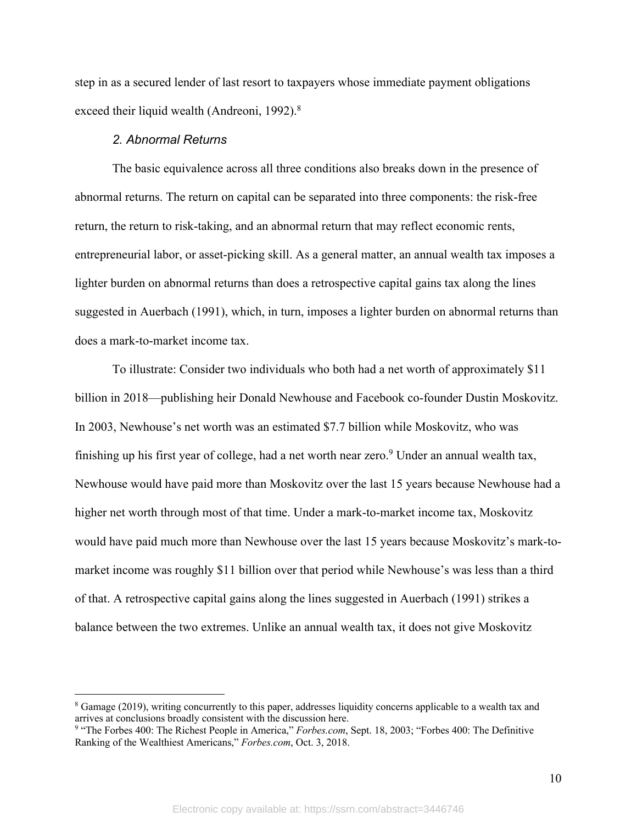step in as a secured lender of last resort to taxpayers whose immediate payment obligations exceed their liquid wealth (Andreoni, 1992).<sup>8</sup>

## *2. Abnormal Returns*

The basic equivalence across all three conditions also breaks down in the presence of abnormal returns. The return on capital can be separated into three components: the risk-free return, the return to risk-taking, and an abnormal return that may reflect economic rents, entrepreneurial labor, or asset-picking skill. As a general matter, an annual wealth tax imposes a lighter burden on abnormal returns than does a retrospective capital gains tax along the lines suggested in Auerbach (1991), which, in turn, imposes a lighter burden on abnormal returns than does a mark-to-market income tax.

To illustrate: Consider two individuals who both had a net worth of approximately \$11 billion in 2018—publishing heir Donald Newhouse and Facebook co-founder Dustin Moskovitz. In 2003, Newhouse's net worth was an estimated \$7.7 billion while Moskovitz, who was finishing up his first year of college, had a net worth near zero.<sup>9</sup> Under an annual wealth tax, Newhouse would have paid more than Moskovitz over the last 15 years because Newhouse had a higher net worth through most of that time. Under a mark-to-market income tax, Moskovitz would have paid much more than Newhouse over the last 15 years because Moskovitz's mark-tomarket income was roughly \$11 billion over that period while Newhouse's was less than a third of that. A retrospective capital gains along the lines suggested in Auerbach (1991) strikes a balance between the two extremes. Unlike an annual wealth tax, it does not give Moskovitz

<sup>&</sup>lt;sup>8</sup> Gamage (2019), writing concurrently to this paper, addresses liquidity concerns applicable to a wealth tax and arrives at conclusions broadly consistent with the discussion here.

<sup>9</sup> "The Forbes 400: The Richest People in America," *Forbes.com*, Sept. 18, 2003; "Forbes 400: The Definitive Ranking of the Wealthiest Americans," *Forbes.com*, Oct. 3, 2018.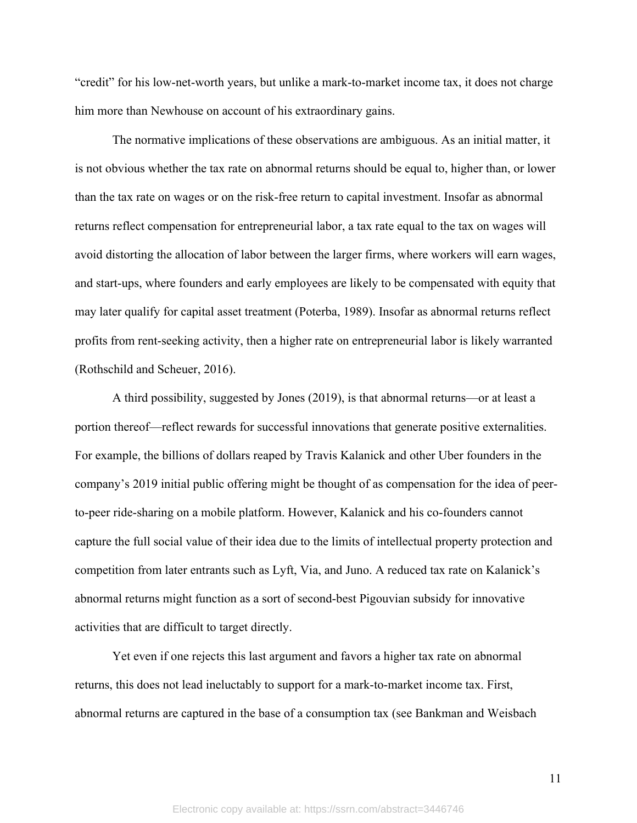"credit" for his low-net-worth years, but unlike a mark-to-market income tax, it does not charge him more than Newhouse on account of his extraordinary gains.

The normative implications of these observations are ambiguous. As an initial matter, it is not obvious whether the tax rate on abnormal returns should be equal to, higher than, or lower than the tax rate on wages or on the risk-free return to capital investment. Insofar as abnormal returns reflect compensation for entrepreneurial labor, a tax rate equal to the tax on wages will avoid distorting the allocation of labor between the larger firms, where workers will earn wages, and start-ups, where founders and early employees are likely to be compensated with equity that may later qualify for capital asset treatment (Poterba, 1989). Insofar as abnormal returns reflect profits from rent-seeking activity, then a higher rate on entrepreneurial labor is likely warranted (Rothschild and Scheuer, 2016).

A third possibility, suggested by Jones (2019), is that abnormal returns—or at least a portion thereof—reflect rewards for successful innovations that generate positive externalities. For example, the billions of dollars reaped by Travis Kalanick and other Uber founders in the company's 2019 initial public offering might be thought of as compensation for the idea of peerto-peer ride-sharing on a mobile platform. However, Kalanick and his co-founders cannot capture the full social value of their idea due to the limits of intellectual property protection and competition from later entrants such as Lyft, Via, and Juno. A reduced tax rate on Kalanick's abnormal returns might function as a sort of second-best Pigouvian subsidy for innovative activities that are difficult to target directly.

Yet even if one rejects this last argument and favors a higher tax rate on abnormal returns, this does not lead ineluctably to support for a mark-to-market income tax. First, abnormal returns are captured in the base of a consumption tax (see Bankman and Weisbach

11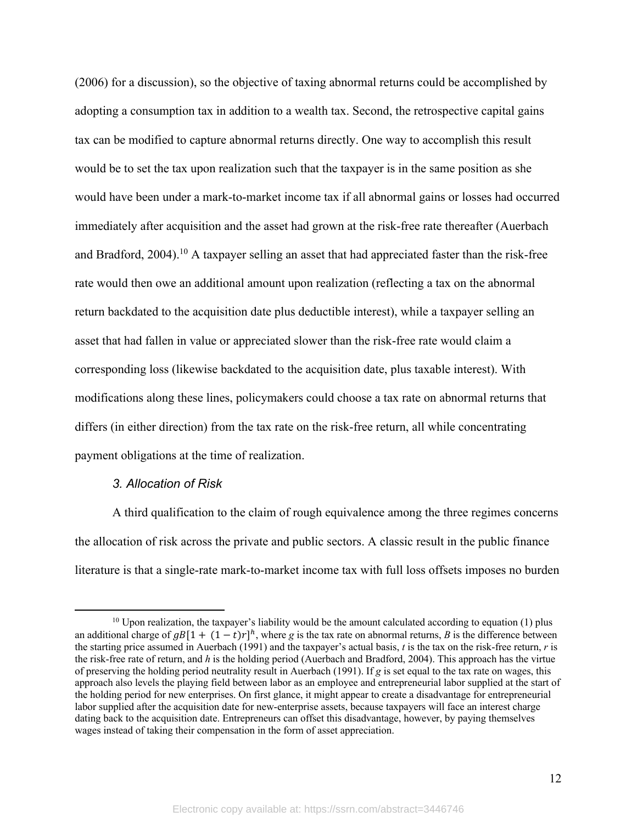(2006) for a discussion), so the objective of taxing abnormal returns could be accomplished by adopting a consumption tax in addition to a wealth tax. Second, the retrospective capital gains tax can be modified to capture abnormal returns directly. One way to accomplish this result would be to set the tax upon realization such that the taxpayer is in the same position as she would have been under a mark-to-market income tax if all abnormal gains or losses had occurred immediately after acquisition and the asset had grown at the risk-free rate thereafter (Auerbach and Bradford, 2004).<sup>10</sup> A taxpayer selling an asset that had appreciated faster than the risk-free rate would then owe an additional amount upon realization (reflecting a tax on the abnormal return backdated to the acquisition date plus deductible interest), while a taxpayer selling an asset that had fallen in value or appreciated slower than the risk-free rate would claim a corresponding loss (likewise backdated to the acquisition date, plus taxable interest). With modifications along these lines, policymakers could choose a tax rate on abnormal returns that differs (in either direction) from the tax rate on the risk-free return, all while concentrating payment obligations at the time of realization.

#### *3. Allocation of Risk*

A third qualification to the claim of rough equivalence among the three regimes concerns the allocation of risk across the private and public sectors. A classic result in the public finance literature is that a single-rate mark-to-market income tax with full loss offsets imposes no burden

 $10$  Upon realization, the taxpayer's liability would be the amount calculated according to equation (1) plus an additional charge of  $gB[1 + (1-t)r]^h$ , where *g* is the tax rate on abnormal returns, *B* is the difference between the starting price assumed in Auerbach (1991) and the taxpayer's actual basis, *t* is the tax on the risk-free return, *r* is the risk-free rate of return, and *h* is the holding period (Auerbach and Bradford, 2004). This approach has the virtue of preserving the holding period neutrality result in Auerbach (1991). If *g* is set equal to the tax rate on wages, this approach also levels the playing field between labor as an employee and entrepreneurial labor supplied at the start of the holding period for new enterprises. On first glance, it might appear to create a disadvantage for entrepreneurial labor supplied after the acquisition date for new-enterprise assets, because taxpayers will face an interest charge dating back to the acquisition date. Entrepreneurs can offset this disadvantage, however, by paying themselves wages instead of taking their compensation in the form of asset appreciation.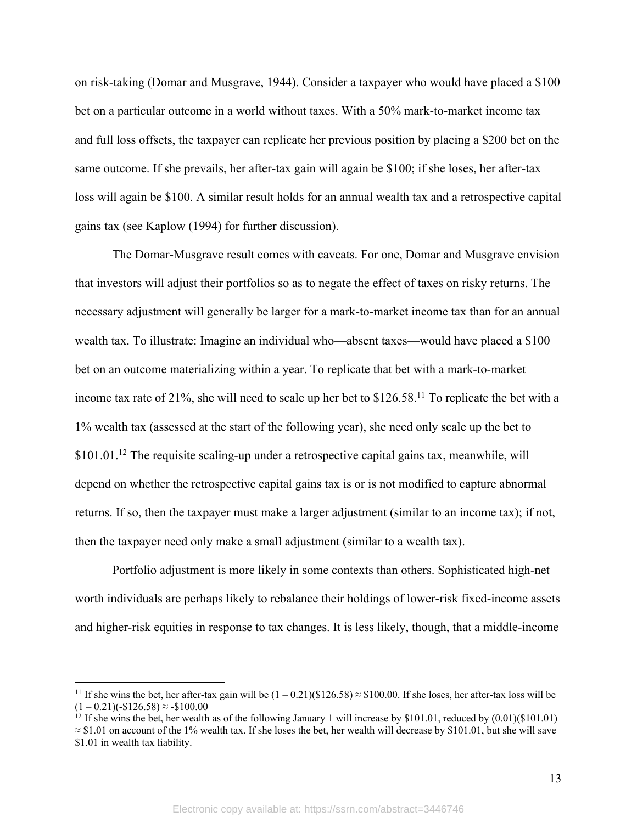on risk-taking (Domar and Musgrave, 1944). Consider a taxpayer who would have placed a \$100 bet on a particular outcome in a world without taxes. With a 50% mark-to-market income tax and full loss offsets, the taxpayer can replicate her previous position by placing a \$200 bet on the same outcome. If she prevails, her after-tax gain will again be \$100; if she loses, her after-tax loss will again be \$100. A similar result holds for an annual wealth tax and a retrospective capital gains tax (see Kaplow (1994) for further discussion).

The Domar-Musgrave result comes with caveats. For one, Domar and Musgrave envision that investors will adjust their portfolios so as to negate the effect of taxes on risky returns. The necessary adjustment will generally be larger for a mark-to-market income tax than for an annual wealth tax. To illustrate: Imagine an individual who—absent taxes—would have placed a \$100 bet on an outcome materializing within a year. To replicate that bet with a mark-to-market income tax rate of 21%, she will need to scale up her bet to \$126.58.11 To replicate the bet with a 1% wealth tax (assessed at the start of the following year), she need only scale up the bet to  $$101.01<sup>12</sup>$  The requisite scaling-up under a retrospective capital gains tax, meanwhile, will depend on whether the retrospective capital gains tax is or is not modified to capture abnormal returns. If so, then the taxpayer must make a larger adjustment (similar to an income tax); if not, then the taxpayer need only make a small adjustment (similar to a wealth tax).

Portfolio adjustment is more likely in some contexts than others. Sophisticated high-net worth individuals are perhaps likely to rebalance their holdings of lower-risk fixed-income assets and higher-risk equities in response to tax changes. It is less likely, though, that a middle-income

<sup>&</sup>lt;sup>11</sup> If she wins the bet, her after-tax gain will be  $(1 - 0.21)(\$126.58) \approx \$100.00$ . If she loses, her after-tax loss will be  $(1 - 0.21)(-1.26.58) \approx -100.00$ 

<sup>&</sup>lt;sup>12</sup> If she wins the bet, her wealth as of the following January 1 will increase by \$101.01, reduced by  $(0.01)(\$101.01)$ 

 $\approx$  \$1.01 on account of the 1% wealth tax. If she loses the bet, her wealth will decrease by \$101.01, but she will save \$1.01 in wealth tax liability.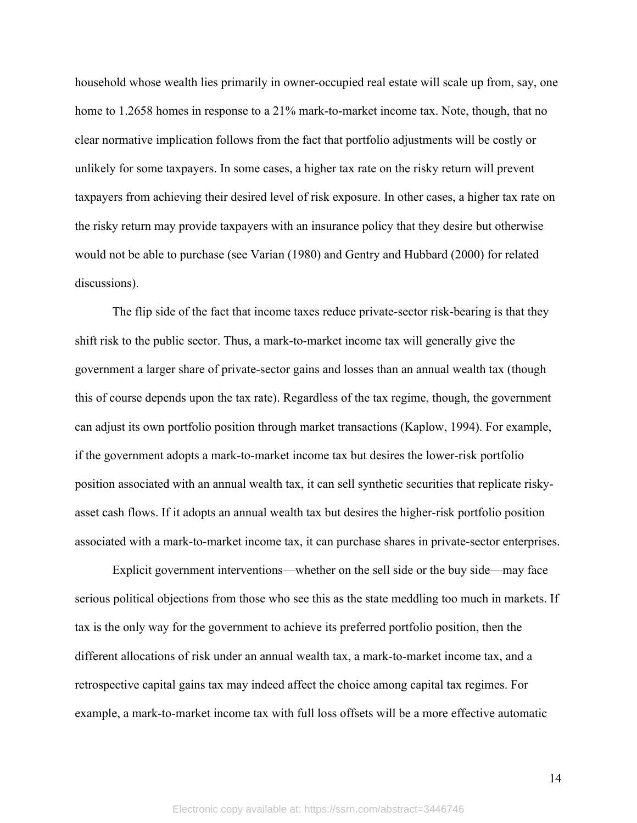household whose wealth lies primarily in owner-occupied real estate will scale up from, say, one home to 1.2658 homes in response to a 21% mark-to-market income tax. Note, though, that no clear normative implication follows from the fact that portfolio adjustments will be costly or unlikely for some taxpayers. In some cases, a higher tax rate on the risky return will prevent taxpayers from achieving their desired level of risk exposure. In other cases, a higher tax rate on the risky return may provide taxpayers with an insurance policy that they desire but otherwise would not be able to purchase (see Varian (1980) and Gentry and Hubbard (2000) for related discussions).

The flip side of the fact that income taxes reduce private-sector risk-bearing is that they shift risk to the public sector. Thus, a mark-to-market income tax will generally give the government a larger share of private-sector gains and losses than an annual wealth tax (though this of course depends upon the tax rate). Regardless of the tax regime, though, the government can adjust its own portfolio position through market transactions (Kaplow, 1994). For example, if the government adopts a mark-to-market income tax but desires the lower-risk portfolio position associated with an annual wealth tax, it can sell synthetic securities that replicate riskyasset cash flows. If it adopts an annual wealth tax but desires the higher-risk portfolio position associated with a mark-to-market income tax, it can purchase shares in private-sector enterprises.

Explicit government interventions—whether on the sell side or the buy side—may face serious political objections from those who see this as the state meddling too much in markets. If tax is the only way for the government to achieve its preferred portfolio position, then the different allocations of risk under an annual wealth tax, a mark-to-market income tax, and a retrospective capital gains tax may indeed affect the choice among capital tax regimes. For example, a mark-to-market income tax with full loss offsets will be a more effective automatic

14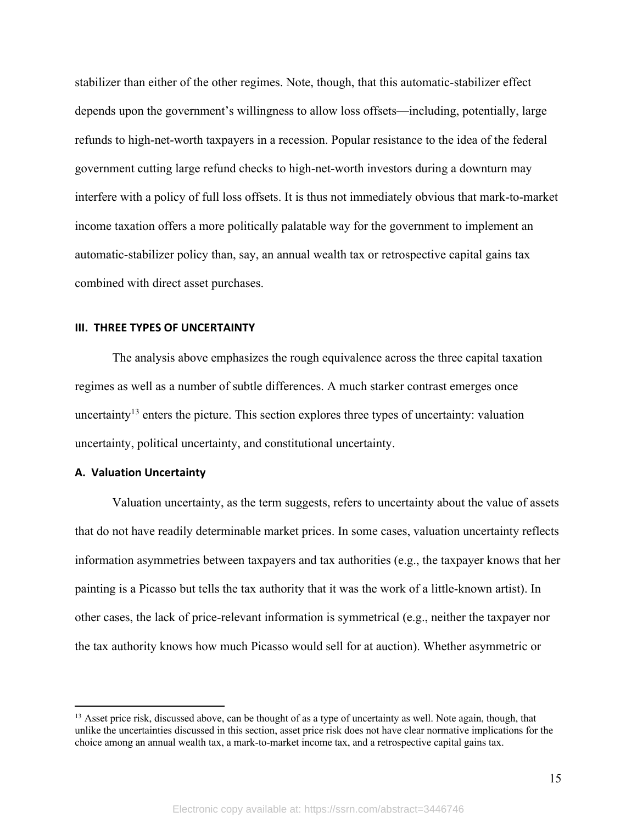stabilizer than either of the other regimes. Note, though, that this automatic-stabilizer effect depends upon the government's willingness to allow loss offsets—including, potentially, large refunds to high-net-worth taxpayers in a recession. Popular resistance to the idea of the federal government cutting large refund checks to high-net-worth investors during a downturn may interfere with a policy of full loss offsets. It is thus not immediately obvious that mark-to-market income taxation offers a more politically palatable way for the government to implement an automatic-stabilizer policy than, say, an annual wealth tax or retrospective capital gains tax combined with direct asset purchases.

#### **III. THREE TYPES OF UNCERTAINTY**

The analysis above emphasizes the rough equivalence across the three capital taxation regimes as well as a number of subtle differences. A much starker contrast emerges once uncertainty<sup>13</sup> enters the picture. This section explores three types of uncertainty: valuation uncertainty, political uncertainty, and constitutional uncertainty.

## **A. Valuation Uncertainty**

Valuation uncertainty, as the term suggests, refers to uncertainty about the value of assets that do not have readily determinable market prices. In some cases, valuation uncertainty reflects information asymmetries between taxpayers and tax authorities (e.g., the taxpayer knows that her painting is a Picasso but tells the tax authority that it was the work of a little-known artist). In other cases, the lack of price-relevant information is symmetrical (e.g., neither the taxpayer nor the tax authority knows how much Picasso would sell for at auction). Whether asymmetric or

 $<sup>13</sup>$  Asset price risk, discussed above, can be thought of as a type of uncertainty as well. Note again, though, that</sup> unlike the uncertainties discussed in this section, asset price risk does not have clear normative implications for the choice among an annual wealth tax, a mark-to-market income tax, and a retrospective capital gains tax.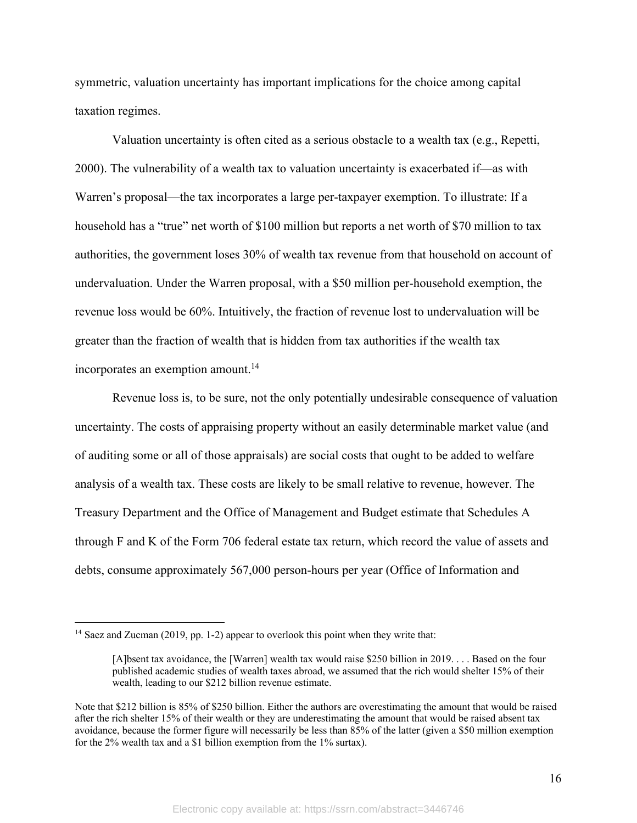symmetric, valuation uncertainty has important implications for the choice among capital taxation regimes.

Valuation uncertainty is often cited as a serious obstacle to a wealth tax (e.g., Repetti, 2000). The vulnerability of a wealth tax to valuation uncertainty is exacerbated if—as with Warren's proposal—the tax incorporates a large per-taxpayer exemption. To illustrate: If a household has a "true" net worth of \$100 million but reports a net worth of \$70 million to tax authorities, the government loses 30% of wealth tax revenue from that household on account of undervaluation. Under the Warren proposal, with a \$50 million per-household exemption, the revenue loss would be 60%. Intuitively, the fraction of revenue lost to undervaluation will be greater than the fraction of wealth that is hidden from tax authorities if the wealth tax incorporates an exemption amount.<sup>14</sup>

Revenue loss is, to be sure, not the only potentially undesirable consequence of valuation uncertainty. The costs of appraising property without an easily determinable market value (and of auditing some or all of those appraisals) are social costs that ought to be added to welfare analysis of a wealth tax. These costs are likely to be small relative to revenue, however. The Treasury Department and the Office of Management and Budget estimate that Schedules A through F and K of the Form 706 federal estate tax return, which record the value of assets and debts, consume approximately 567,000 person-hours per year (Office of Information and

<sup>&</sup>lt;sup>14</sup> Saez and Zucman (2019, pp. 1-2) appear to overlook this point when they write that:

<sup>[</sup>A]bsent tax avoidance, the [Warren] wealth tax would raise \$250 billion in 2019. . . . Based on the four published academic studies of wealth taxes abroad, we assumed that the rich would shelter 15% of their wealth, leading to our \$212 billion revenue estimate.

Note that \$212 billion is 85% of \$250 billion. Either the authors are overestimating the amount that would be raised after the rich shelter 15% of their wealth or they are underestimating the amount that would be raised absent tax avoidance, because the former figure will necessarily be less than 85% of the latter (given a \$50 million exemption for the 2% wealth tax and a \$1 billion exemption from the 1% surtax).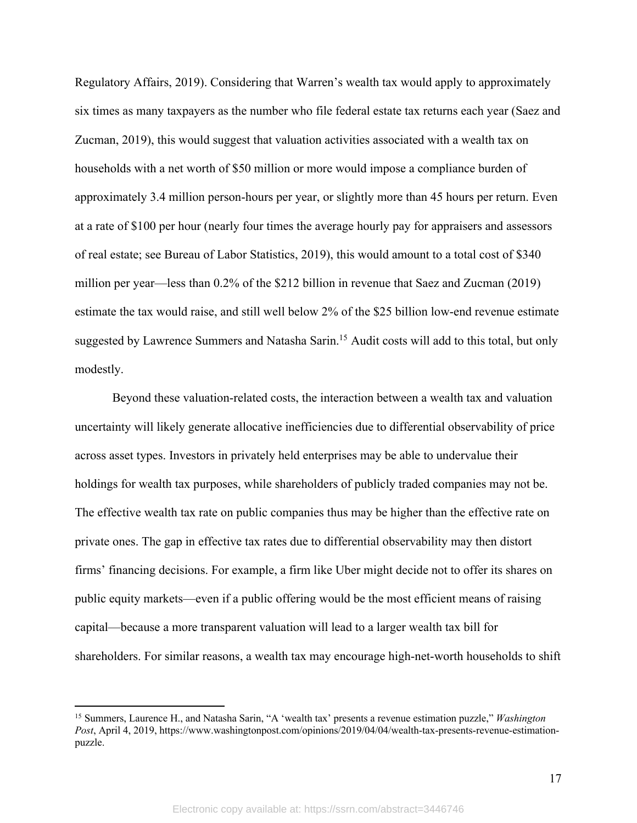Regulatory Affairs, 2019). Considering that Warren's wealth tax would apply to approximately six times as many taxpayers as the number who file federal estate tax returns each year (Saez and Zucman, 2019), this would suggest that valuation activities associated with a wealth tax on households with a net worth of \$50 million or more would impose a compliance burden of approximately 3.4 million person-hours per year, or slightly more than 45 hours per return. Even at a rate of \$100 per hour (nearly four times the average hourly pay for appraisers and assessors of real estate; see Bureau of Labor Statistics, 2019), this would amount to a total cost of \$340 million per year—less than 0.2% of the \$212 billion in revenue that Saez and Zucman (2019) estimate the tax would raise, and still well below 2% of the \$25 billion low-end revenue estimate suggested by Lawrence Summers and Natasha Sarin.<sup>15</sup> Audit costs will add to this total, but only modestly.

Beyond these valuation-related costs, the interaction between a wealth tax and valuation uncertainty will likely generate allocative inefficiencies due to differential observability of price across asset types. Investors in privately held enterprises may be able to undervalue their holdings for wealth tax purposes, while shareholders of publicly traded companies may not be. The effective wealth tax rate on public companies thus may be higher than the effective rate on private ones. The gap in effective tax rates due to differential observability may then distort firms' financing decisions. For example, a firm like Uber might decide not to offer its shares on public equity markets—even if a public offering would be the most efficient means of raising capital—because a more transparent valuation will lead to a larger wealth tax bill for shareholders. For similar reasons, a wealth tax may encourage high-net-worth households to shift

<sup>15</sup> Summers, Laurence H., and Natasha Sarin, "A 'wealth tax' presents a revenue estimation puzzle," *Washington Post*, April 4, 2019, https://www.washingtonpost.com/opinions/2019/04/04/wealth-tax-presents-revenue-estimationpuzzle.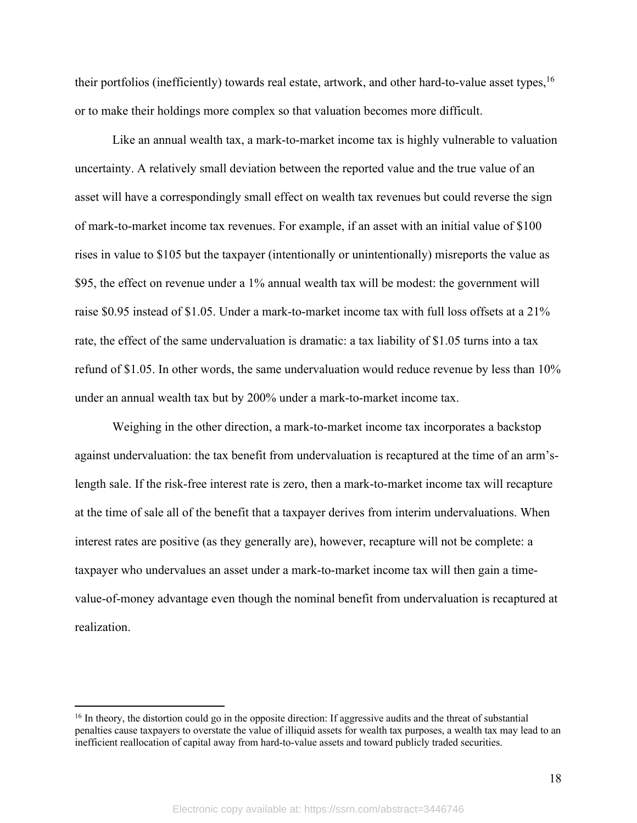their portfolios (inefficiently) towards real estate, artwork, and other hard-to-value asset types, <sup>16</sup> or to make their holdings more complex so that valuation becomes more difficult.

Like an annual wealth tax, a mark-to-market income tax is highly vulnerable to valuation uncertainty. A relatively small deviation between the reported value and the true value of an asset will have a correspondingly small effect on wealth tax revenues but could reverse the sign of mark-to-market income tax revenues. For example, if an asset with an initial value of \$100 rises in value to \$105 but the taxpayer (intentionally or unintentionally) misreports the value as \$95, the effect on revenue under a 1% annual wealth tax will be modest: the government will raise \$0.95 instead of \$1.05. Under a mark-to-market income tax with full loss offsets at a 21% rate, the effect of the same undervaluation is dramatic: a tax liability of \$1.05 turns into a tax refund of \$1.05. In other words, the same undervaluation would reduce revenue by less than 10% under an annual wealth tax but by 200% under a mark-to-market income tax.

Weighing in the other direction, a mark-to-market income tax incorporates a backstop against undervaluation: the tax benefit from undervaluation is recaptured at the time of an arm'slength sale. If the risk-free interest rate is zero, then a mark-to-market income tax will recapture at the time of sale all of the benefit that a taxpayer derives from interim undervaluations. When interest rates are positive (as they generally are), however, recapture will not be complete: a taxpayer who undervalues an asset under a mark-to-market income tax will then gain a timevalue-of-money advantage even though the nominal benefit from undervaluation is recaptured at realization.

 $16$  In theory, the distortion could go in the opposite direction: If aggressive audits and the threat of substantial penalties cause taxpayers to overstate the value of illiquid assets for wealth tax purposes, a wealth tax may lead to an inefficient reallocation of capital away from hard-to-value assets and toward publicly traded securities.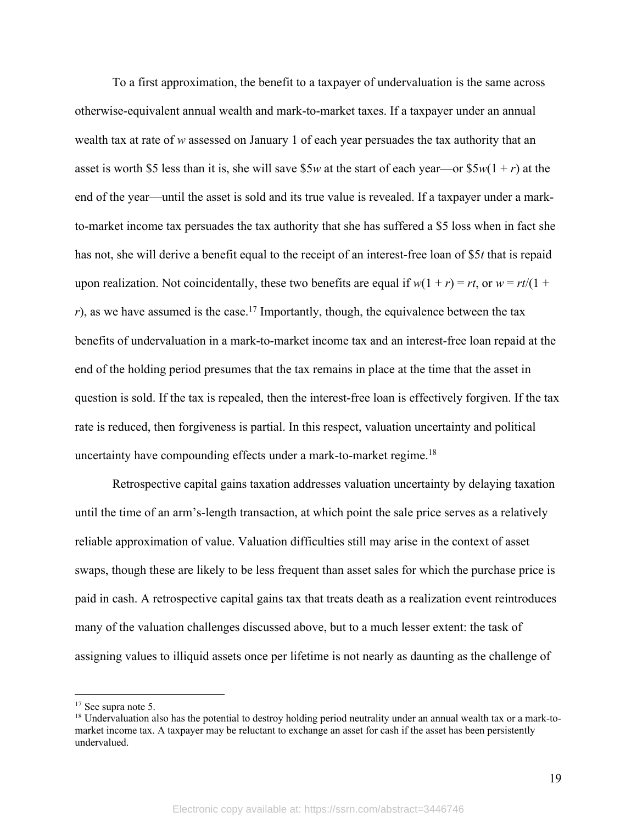To a first approximation, the benefit to a taxpayer of undervaluation is the same across otherwise-equivalent annual wealth and mark-to-market taxes. If a taxpayer under an annual wealth tax at rate of *w* assessed on January 1 of each year persuades the tax authority that an asset is worth \$5 less than it is, she will save \$5*w* at the start of each year—or \$5*w*(1 + *r*) at the end of the year—until the asset is sold and its true value is revealed. If a taxpayer under a markto-market income tax persuades the tax authority that she has suffered a \$5 loss when in fact she has not, she will derive a benefit equal to the receipt of an interest-free loan of \$5*t* that is repaid upon realization. Not coincidentally, these two benefits are equal if  $w(1 + r) = rt$ , or  $w = rt/(1 +$  $r$ ), as we have assumed is the case.<sup>17</sup> Importantly, though, the equivalence between the tax benefits of undervaluation in a mark-to-market income tax and an interest-free loan repaid at the end of the holding period presumes that the tax remains in place at the time that the asset in question is sold. If the tax is repealed, then the interest-free loan is effectively forgiven. If the tax rate is reduced, then forgiveness is partial. In this respect, valuation uncertainty and political uncertainty have compounding effects under a mark-to-market regime.<sup>18</sup>

Retrospective capital gains taxation addresses valuation uncertainty by delaying taxation until the time of an arm's-length transaction, at which point the sale price serves as a relatively reliable approximation of value. Valuation difficulties still may arise in the context of asset swaps, though these are likely to be less frequent than asset sales for which the purchase price is paid in cash. A retrospective capital gains tax that treats death as a realization event reintroduces many of the valuation challenges discussed above, but to a much lesser extent: the task of assigning values to illiquid assets once per lifetime is not nearly as daunting as the challenge of

<sup>17</sup> See supra note 5.

 $18$  Undervaluation also has the potential to destroy holding period neutrality under an annual wealth tax or a mark-tomarket income tax. A taxpayer may be reluctant to exchange an asset for cash if the asset has been persistently undervalued.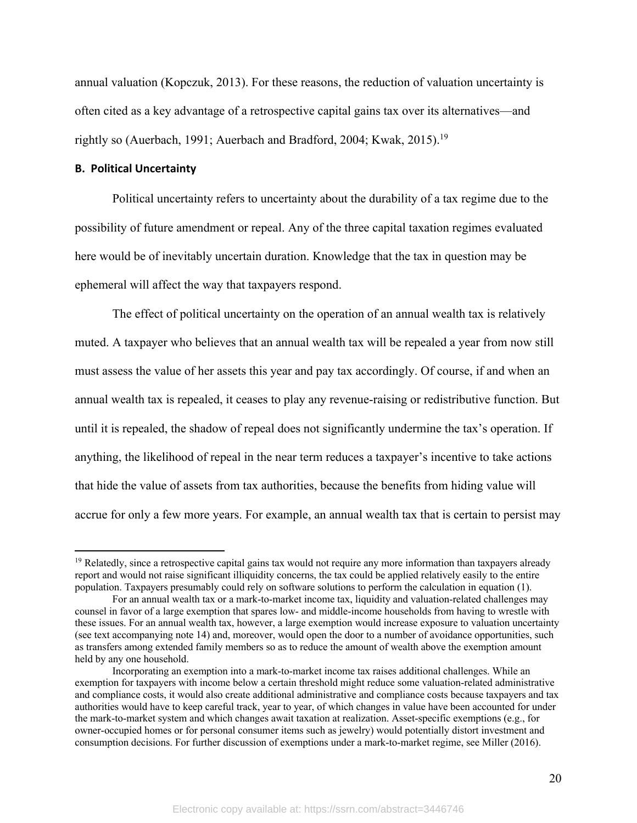annual valuation (Kopczuk, 2013). For these reasons, the reduction of valuation uncertainty is often cited as a key advantage of a retrospective capital gains tax over its alternatives—and rightly so (Auerbach, 1991; Auerbach and Bradford, 2004; Kwak, 2015).<sup>19</sup>

#### **B. Political Uncertainty**

Political uncertainty refers to uncertainty about the durability of a tax regime due to the possibility of future amendment or repeal. Any of the three capital taxation regimes evaluated here would be of inevitably uncertain duration. Knowledge that the tax in question may be ephemeral will affect the way that taxpayers respond.

The effect of political uncertainty on the operation of an annual wealth tax is relatively muted. A taxpayer who believes that an annual wealth tax will be repealed a year from now still must assess the value of her assets this year and pay tax accordingly. Of course, if and when an annual wealth tax is repealed, it ceases to play any revenue-raising or redistributive function. But until it is repealed, the shadow of repeal does not significantly undermine the tax's operation. If anything, the likelihood of repeal in the near term reduces a taxpayer's incentive to take actions that hide the value of assets from tax authorities, because the benefits from hiding value will accrue for only a few more years. For example, an annual wealth tax that is certain to persist may

<sup>&</sup>lt;sup>19</sup> Relatedly, since a retrospective capital gains tax would not require any more information than taxpayers already report and would not raise significant illiquidity concerns, the tax could be applied relatively easily to the entire population. Taxpayers presumably could rely on software solutions to perform the calculation in equation (1).

For an annual wealth tax or a mark-to-market income tax, liquidity and valuation-related challenges may counsel in favor of a large exemption that spares low- and middle-income households from having to wrestle with these issues. For an annual wealth tax, however, a large exemption would increase exposure to valuation uncertainty (see text accompanying note 14) and, moreover, would open the door to a number of avoidance opportunities, such as transfers among extended family members so as to reduce the amount of wealth above the exemption amount held by any one household.

Incorporating an exemption into a mark-to-market income tax raises additional challenges. While an exemption for taxpayers with income below a certain threshold might reduce some valuation-related administrative and compliance costs, it would also create additional administrative and compliance costs because taxpayers and tax authorities would have to keep careful track, year to year, of which changes in value have been accounted for under the mark-to-market system and which changes await taxation at realization. Asset-specific exemptions (e.g., for owner-occupied homes or for personal consumer items such as jewelry) would potentially distort investment and consumption decisions. For further discussion of exemptions under a mark-to-market regime, see Miller (2016).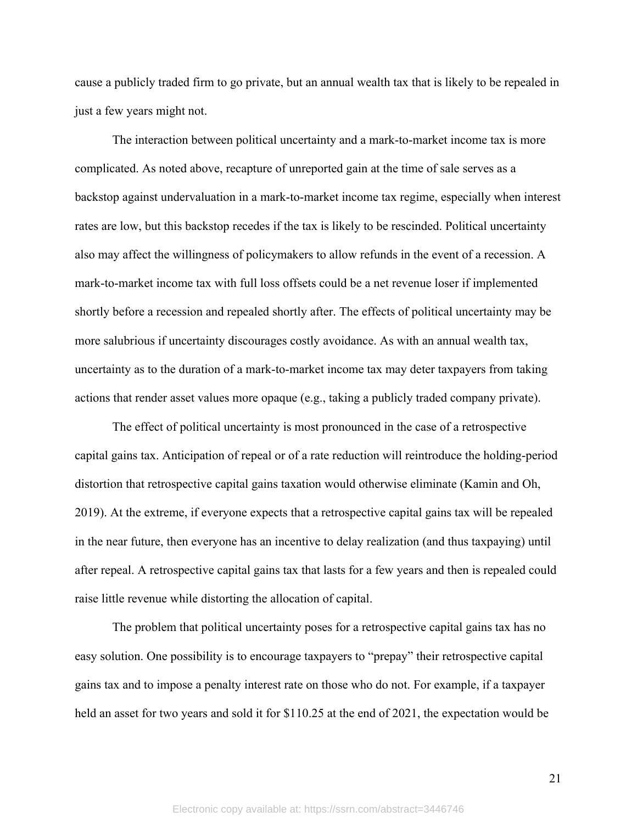cause a publicly traded firm to go private, but an annual wealth tax that is likely to be repealed in just a few years might not.

The interaction between political uncertainty and a mark-to-market income tax is more complicated. As noted above, recapture of unreported gain at the time of sale serves as a backstop against undervaluation in a mark-to-market income tax regime, especially when interest rates are low, but this backstop recedes if the tax is likely to be rescinded. Political uncertainty also may affect the willingness of policymakers to allow refunds in the event of a recession. A mark-to-market income tax with full loss offsets could be a net revenue loser if implemented shortly before a recession and repealed shortly after. The effects of political uncertainty may be more salubrious if uncertainty discourages costly avoidance. As with an annual wealth tax, uncertainty as to the duration of a mark-to-market income tax may deter taxpayers from taking actions that render asset values more opaque (e.g., taking a publicly traded company private).

The effect of political uncertainty is most pronounced in the case of a retrospective capital gains tax. Anticipation of repeal or of a rate reduction will reintroduce the holding-period distortion that retrospective capital gains taxation would otherwise eliminate (Kamin and Oh, 2019). At the extreme, if everyone expects that a retrospective capital gains tax will be repealed in the near future, then everyone has an incentive to delay realization (and thus taxpaying) until after repeal. A retrospective capital gains tax that lasts for a few years and then is repealed could raise little revenue while distorting the allocation of capital.

The problem that political uncertainty poses for a retrospective capital gains tax has no easy solution. One possibility is to encourage taxpayers to "prepay" their retrospective capital gains tax and to impose a penalty interest rate on those who do not. For example, if a taxpayer held an asset for two years and sold it for \$110.25 at the end of 2021, the expectation would be

21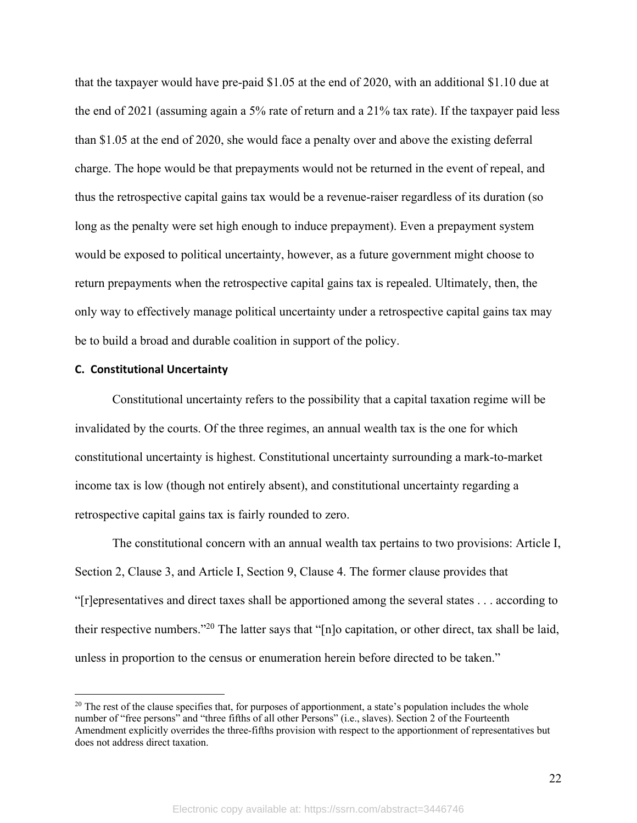that the taxpayer would have pre-paid \$1.05 at the end of 2020, with an additional \$1.10 due at the end of 2021 (assuming again a 5% rate of return and a 21% tax rate). If the taxpayer paid less than \$1.05 at the end of 2020, she would face a penalty over and above the existing deferral charge. The hope would be that prepayments would not be returned in the event of repeal, and thus the retrospective capital gains tax would be a revenue-raiser regardless of its duration (so long as the penalty were set high enough to induce prepayment). Even a prepayment system would be exposed to political uncertainty, however, as a future government might choose to return prepayments when the retrospective capital gains tax is repealed. Ultimately, then, the only way to effectively manage political uncertainty under a retrospective capital gains tax may be to build a broad and durable coalition in support of the policy.

## **C. Constitutional Uncertainty**

Constitutional uncertainty refers to the possibility that a capital taxation regime will be invalidated by the courts. Of the three regimes, an annual wealth tax is the one for which constitutional uncertainty is highest. Constitutional uncertainty surrounding a mark-to-market income tax is low (though not entirely absent), and constitutional uncertainty regarding a retrospective capital gains tax is fairly rounded to zero.

The constitutional concern with an annual wealth tax pertains to two provisions: Article I, Section 2, Clause 3, and Article I, Section 9, Clause 4. The former clause provides that "[r]epresentatives and direct taxes shall be apportioned among the several states . . . according to their respective numbers."20 The latter says that "[n]o capitation, or other direct, tax shall be laid, unless in proportion to the census or enumeration herein before directed to be taken."

22

 $20$  The rest of the clause specifies that, for purposes of apportionment, a state's population includes the whole number of "free persons" and "three fifths of all other Persons" (i.e., slaves). Section 2 of the Fourteenth Amendment explicitly overrides the three-fifths provision with respect to the apportionment of representatives but does not address direct taxation.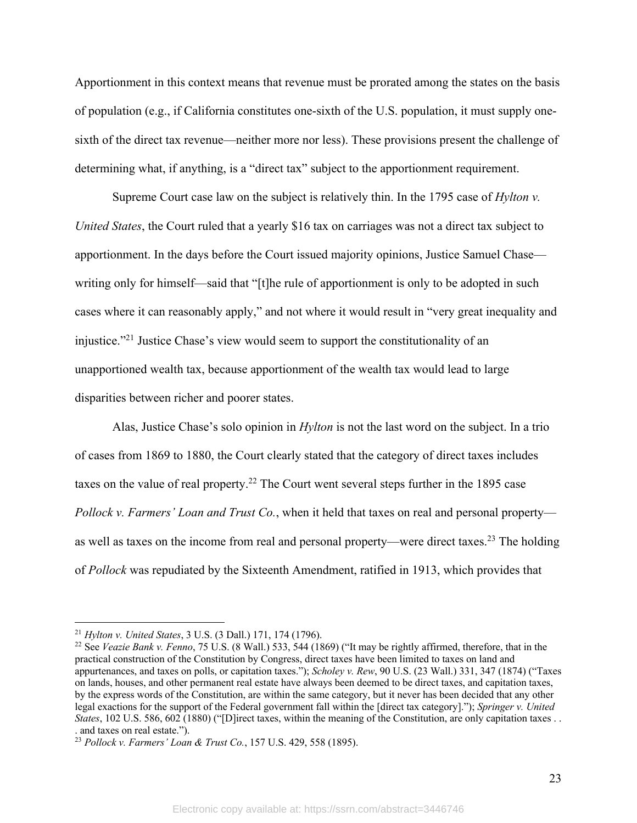Apportionment in this context means that revenue must be prorated among the states on the basis of population (e.g., if California constitutes one-sixth of the U.S. population, it must supply onesixth of the direct tax revenue—neither more nor less). These provisions present the challenge of determining what, if anything, is a "direct tax" subject to the apportionment requirement.

Supreme Court case law on the subject is relatively thin. In the 1795 case of *Hylton v. United States*, the Court ruled that a yearly \$16 tax on carriages was not a direct tax subject to apportionment. In the days before the Court issued majority opinions, Justice Samuel Chase writing only for himself—said that "[t]he rule of apportionment is only to be adopted in such cases where it can reasonably apply," and not where it would result in "very great inequality and injustice."21 Justice Chase's view would seem to support the constitutionality of an unapportioned wealth tax, because apportionment of the wealth tax would lead to large disparities between richer and poorer states.

Alas, Justice Chase's solo opinion in *Hylton* is not the last word on the subject. In a trio of cases from 1869 to 1880, the Court clearly stated that the category of direct taxes includes taxes on the value of real property.<sup>22</sup> The Court went several steps further in the 1895 case *Pollock v. Farmers' Loan and Trust Co.*, when it held that taxes on real and personal property as well as taxes on the income from real and personal property—were direct taxes.23 The holding of *Pollock* was repudiated by the Sixteenth Amendment, ratified in 1913, which provides that

<sup>21</sup> *Hylton v. United States*, 3 U.S. (3 Dall.) 171, 174 (1796).

<sup>22</sup> See *Veazie Bank v. Fenno*, 75 U.S. (8 Wall.) 533, 544 (1869) ("It may be rightly affirmed, therefore, that in the practical construction of the Constitution by Congress, direct taxes have been limited to taxes on land and appurtenances, and taxes on polls, or capitation taxes."); *Scholey v. Rew*, 90 U.S. (23 Wall.) 331, 347 (1874) ("Taxes on lands, houses, and other permanent real estate have always been deemed to be direct taxes, and capitation taxes, by the express words of the Constitution, are within the same category, but it never has been decided that any other legal exactions for the support of the Federal government fall within the [direct tax category]."); *Springer v. United States*, 102 U.S. 586, 602 (1880) ("[D]irect taxes, within the meaning of the Constitution, are only capitation taxes . . . and taxes on real estate.").

<sup>23</sup> *Pollock v. Farmers' Loan & Trust Co.*, 157 U.S. 429, 558 (1895).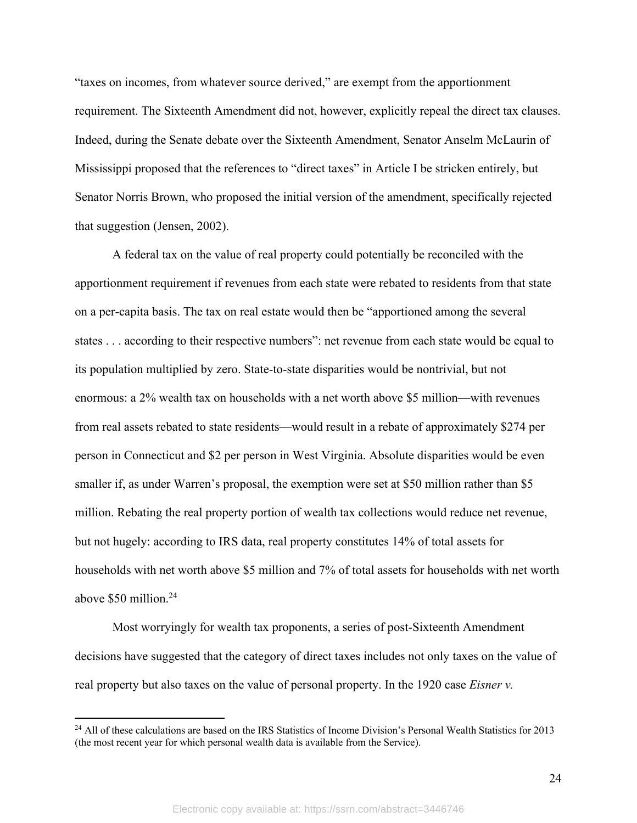"taxes on incomes, from whatever source derived," are exempt from the apportionment requirement. The Sixteenth Amendment did not, however, explicitly repeal the direct tax clauses. Indeed, during the Senate debate over the Sixteenth Amendment, Senator Anselm McLaurin of Mississippi proposed that the references to "direct taxes" in Article I be stricken entirely, but Senator Norris Brown, who proposed the initial version of the amendment, specifically rejected that suggestion (Jensen, 2002).

A federal tax on the value of real property could potentially be reconciled with the apportionment requirement if revenues from each state were rebated to residents from that state on a per-capita basis. The tax on real estate would then be "apportioned among the several states . . . according to their respective numbers": net revenue from each state would be equal to its population multiplied by zero. State-to-state disparities would be nontrivial, but not enormous: a 2% wealth tax on households with a net worth above \$5 million—with revenues from real assets rebated to state residents—would result in a rebate of approximately \$274 per person in Connecticut and \$2 per person in West Virginia. Absolute disparities would be even smaller if, as under Warren's proposal, the exemption were set at \$50 million rather than \$5 million. Rebating the real property portion of wealth tax collections would reduce net revenue, but not hugely: according to IRS data, real property constitutes 14% of total assets for households with net worth above \$5 million and 7% of total assets for households with net worth above \$50 million. 24

Most worryingly for wealth tax proponents, a series of post-Sixteenth Amendment decisions have suggested that the category of direct taxes includes not only taxes on the value of real property but also taxes on the value of personal property. In the 1920 case *Eisner v.* 

<sup>&</sup>lt;sup>24</sup> All of these calculations are based on the IRS Statistics of Income Division's Personal Wealth Statistics for 2013 (the most recent year for which personal wealth data is available from the Service).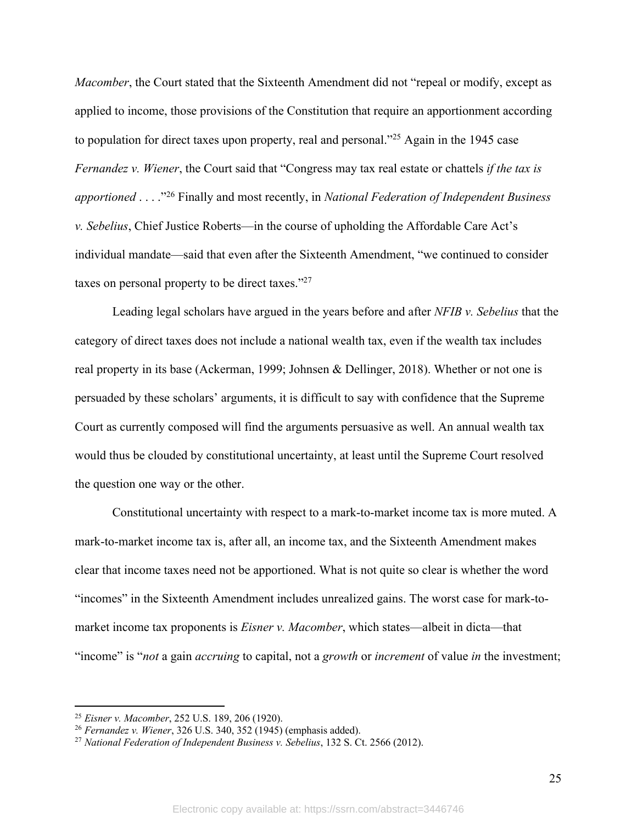*Macomber*, the Court stated that the Sixteenth Amendment did not "repeal or modify, except as applied to income, those provisions of the Constitution that require an apportionment according to population for direct taxes upon property, real and personal.<sup>225</sup> Again in the 1945 case *Fernandez v. Wiener*, the Court said that "Congress may tax real estate or chattels *if the tax is apportioned* . . . ."26 Finally and most recently, in *National Federation of Independent Business v. Sebelius*, Chief Justice Roberts—in the course of upholding the Affordable Care Act's individual mandate—said that even after the Sixteenth Amendment, "we continued to consider taxes on personal property to be direct taxes."27

Leading legal scholars have argued in the years before and after *NFIB v. Sebelius* that the category of direct taxes does not include a national wealth tax, even if the wealth tax includes real property in its base (Ackerman, 1999; Johnsen & Dellinger, 2018). Whether or not one is persuaded by these scholars' arguments, it is difficult to say with confidence that the Supreme Court as currently composed will find the arguments persuasive as well. An annual wealth tax would thus be clouded by constitutional uncertainty, at least until the Supreme Court resolved the question one way or the other.

Constitutional uncertainty with respect to a mark-to-market income tax is more muted. A mark-to-market income tax is, after all, an income tax, and the Sixteenth Amendment makes clear that income taxes need not be apportioned. What is not quite so clear is whether the word "incomes" in the Sixteenth Amendment includes unrealized gains. The worst case for mark-tomarket income tax proponents is *Eisner v. Macomber*, which states—albeit in dicta—that "income" is "*not* a gain *accruing* to capital, not a *growth* or *increment* of value *in* the investment;

<sup>25</sup> *Eisner v. Macomber*, 252 U.S. 189, 206 (1920).

<sup>26</sup> *Fernandez v. Wiener*, 326 U.S. 340, 352 (1945) (emphasis added).

<sup>27</sup> *National Federation of Independent Business v. Sebelius*, 132 S. Ct. 2566 (2012).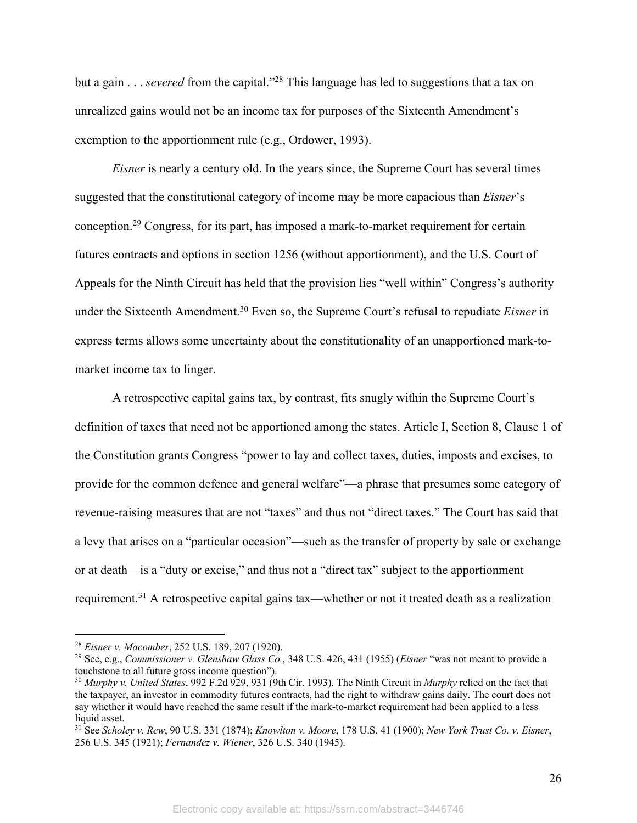but a gain . . . *severed* from the capital."28 This language has led to suggestions that a tax on unrealized gains would not be an income tax for purposes of the Sixteenth Amendment's exemption to the apportionment rule (e.g., Ordower, 1993).

*Eisner* is nearly a century old. In the years since, the Supreme Court has several times suggested that the constitutional category of income may be more capacious than *Eisner*'s conception.29 Congress, for its part, has imposed a mark-to-market requirement for certain futures contracts and options in section 1256 (without apportionment), and the U.S. Court of Appeals for the Ninth Circuit has held that the provision lies "well within" Congress's authority under the Sixteenth Amendment.30 Even so, the Supreme Court's refusal to repudiate *Eisner* in express terms allows some uncertainty about the constitutionality of an unapportioned mark-tomarket income tax to linger.

A retrospective capital gains tax, by contrast, fits snugly within the Supreme Court's definition of taxes that need not be apportioned among the states. Article I, Section 8, Clause 1 of the Constitution grants Congress "power to lay and collect taxes, duties, imposts and excises, to provide for the common defence and general welfare"—a phrase that presumes some category of revenue-raising measures that are not "taxes" and thus not "direct taxes." The Court has said that a levy that arises on a "particular occasion"—such as the transfer of property by sale or exchange or at death—is a "duty or excise," and thus not a "direct tax" subject to the apportionment requirement.31 A retrospective capital gains tax—whether or not it treated death as a realization

<sup>28</sup> *Eisner v. Macomber*, 252 U.S. 189, 207 (1920). 29 See, e.g., *Commissioner v. Glenshaw Glass Co.*, 348 U.S. 426, 431 (1955) (*Eisner* "was not meant to provide a touchstone to all future gross income question").

<sup>30</sup> *Murphy v. United States*, 992 F.2d 929, 931 (9th Cir. 1993). The Ninth Circuit in *Murphy* relied on the fact that the taxpayer, an investor in commodity futures contracts, had the right to withdraw gains daily. The court does not say whether it would have reached the same result if the mark-to-market requirement had been applied to a less liquid asset.

<sup>31</sup> See *Scholey v. Rew*, 90 U.S. 331 (1874); *Knowlton v. Moore*, 178 U.S. 41 (1900); *New York Trust Co. v. Eisner*, 256 U.S. 345 (1921); *Fernandez v. Wiener*, 326 U.S. 340 (1945).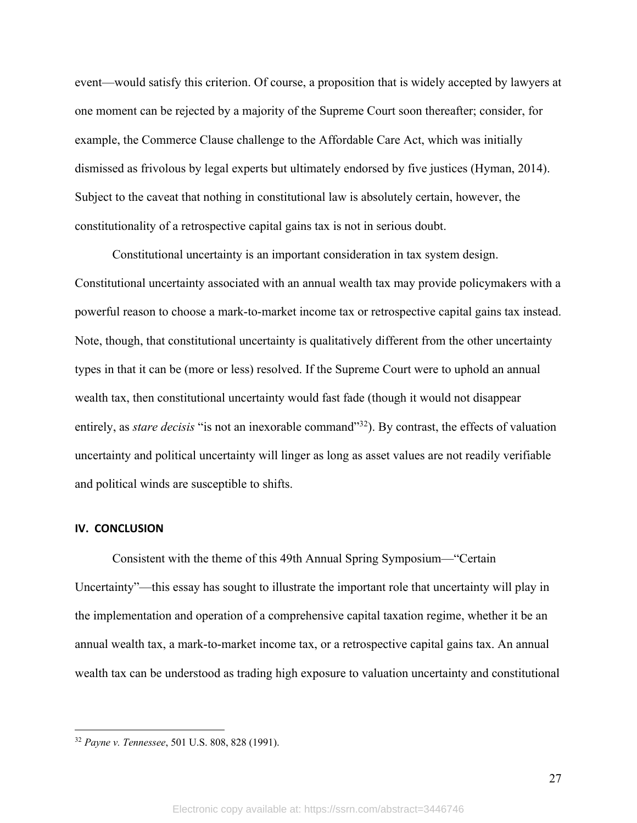event—would satisfy this criterion. Of course, a proposition that is widely accepted by lawyers at one moment can be rejected by a majority of the Supreme Court soon thereafter; consider, for example, the Commerce Clause challenge to the Affordable Care Act, which was initially dismissed as frivolous by legal experts but ultimately endorsed by five justices (Hyman, 2014). Subject to the caveat that nothing in constitutional law is absolutely certain, however, the constitutionality of a retrospective capital gains tax is not in serious doubt.

Constitutional uncertainty is an important consideration in tax system design. Constitutional uncertainty associated with an annual wealth tax may provide policymakers with a powerful reason to choose a mark-to-market income tax or retrospective capital gains tax instead. Note, though, that constitutional uncertainty is qualitatively different from the other uncertainty types in that it can be (more or less) resolved. If the Supreme Court were to uphold an annual wealth tax, then constitutional uncertainty would fast fade (though it would not disappear entirely, as *stare decisis* "is not an inexorable command"<sup>32</sup>). By contrast, the effects of valuation uncertainty and political uncertainty will linger as long as asset values are not readily verifiable and political winds are susceptible to shifts.

#### **IV. CONCLUSION**

Consistent with the theme of this 49th Annual Spring Symposium—"Certain Uncertainty"—this essay has sought to illustrate the important role that uncertainty will play in the implementation and operation of a comprehensive capital taxation regime, whether it be an annual wealth tax, a mark-to-market income tax, or a retrospective capital gains tax. An annual wealth tax can be understood as trading high exposure to valuation uncertainty and constitutional

<sup>32</sup> *Payne v. Tennessee*, 501 U.S. 808, 828 (1991).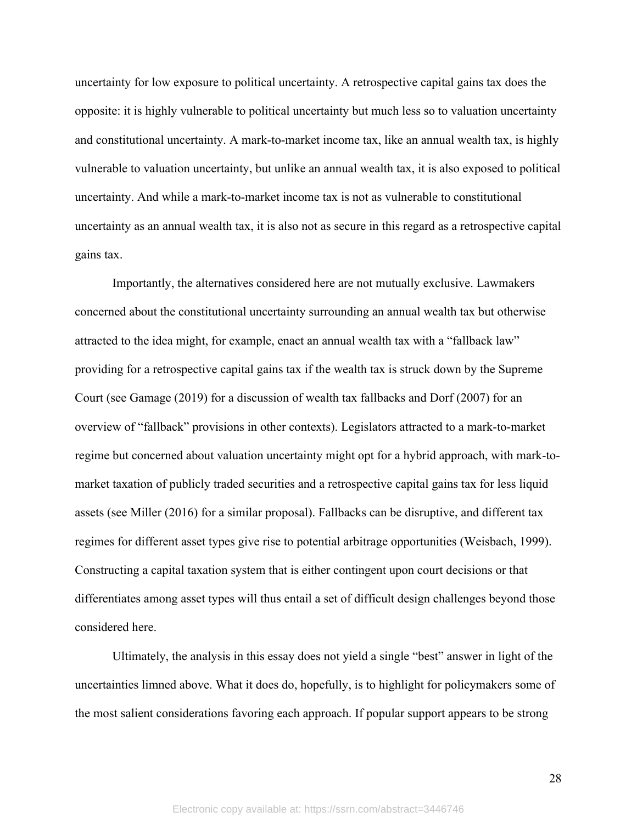uncertainty for low exposure to political uncertainty. A retrospective capital gains tax does the opposite: it is highly vulnerable to political uncertainty but much less so to valuation uncertainty and constitutional uncertainty. A mark-to-market income tax, like an annual wealth tax, is highly vulnerable to valuation uncertainty, but unlike an annual wealth tax, it is also exposed to political uncertainty. And while a mark-to-market income tax is not as vulnerable to constitutional uncertainty as an annual wealth tax, it is also not as secure in this regard as a retrospective capital gains tax.

Importantly, the alternatives considered here are not mutually exclusive. Lawmakers concerned about the constitutional uncertainty surrounding an annual wealth tax but otherwise attracted to the idea might, for example, enact an annual wealth tax with a "fallback law" providing for a retrospective capital gains tax if the wealth tax is struck down by the Supreme Court (see Gamage (2019) for a discussion of wealth tax fallbacks and Dorf (2007) for an overview of "fallback" provisions in other contexts). Legislators attracted to a mark-to-market regime but concerned about valuation uncertainty might opt for a hybrid approach, with mark-tomarket taxation of publicly traded securities and a retrospective capital gains tax for less liquid assets (see Miller (2016) for a similar proposal). Fallbacks can be disruptive, and different tax regimes for different asset types give rise to potential arbitrage opportunities (Weisbach, 1999). Constructing a capital taxation system that is either contingent upon court decisions or that differentiates among asset types will thus entail a set of difficult design challenges beyond those considered here.

Ultimately, the analysis in this essay does not yield a single "best" answer in light of the uncertainties limned above. What it does do, hopefully, is to highlight for policymakers some of the most salient considerations favoring each approach. If popular support appears to be strong

28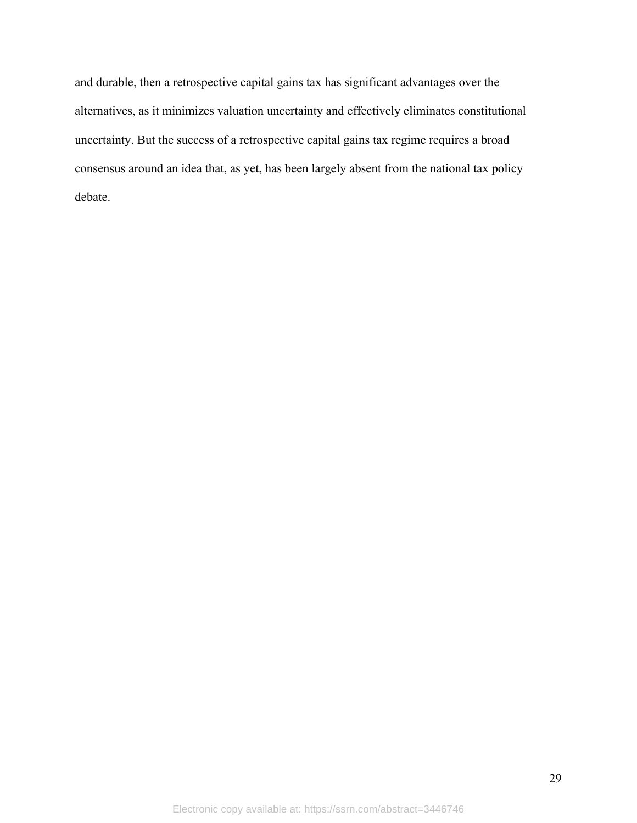and durable, then a retrospective capital gains tax has significant advantages over the alternatives, as it minimizes valuation uncertainty and effectively eliminates constitutional uncertainty. But the success of a retrospective capital gains tax regime requires a broad consensus around an idea that, as yet, has been largely absent from the national tax policy debate.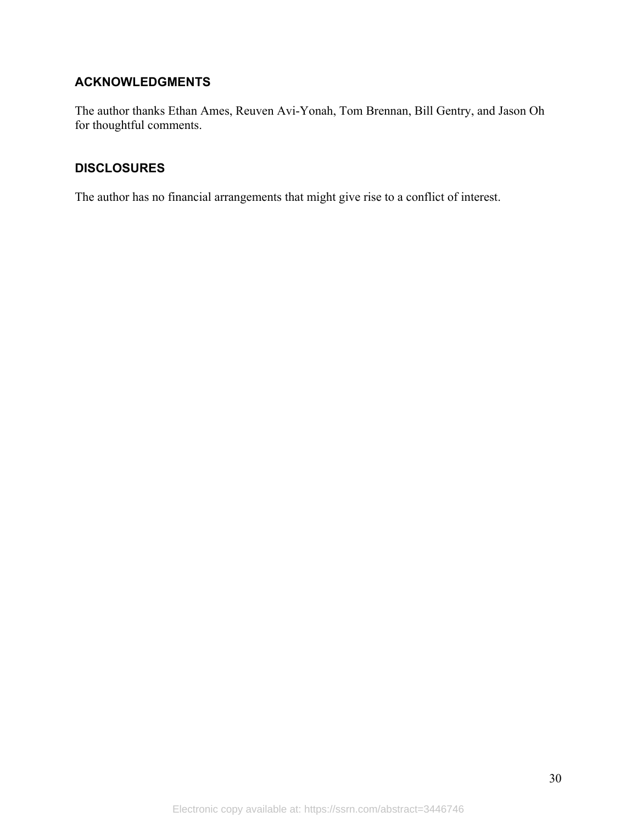# **ACKNOWLEDGMENTS**

The author thanks Ethan Ames, Reuven Avi-Yonah, Tom Brennan, Bill Gentry, and Jason Oh for thoughtful comments.

# **DISCLOSURES**

The author has no financial arrangements that might give rise to a conflict of interest.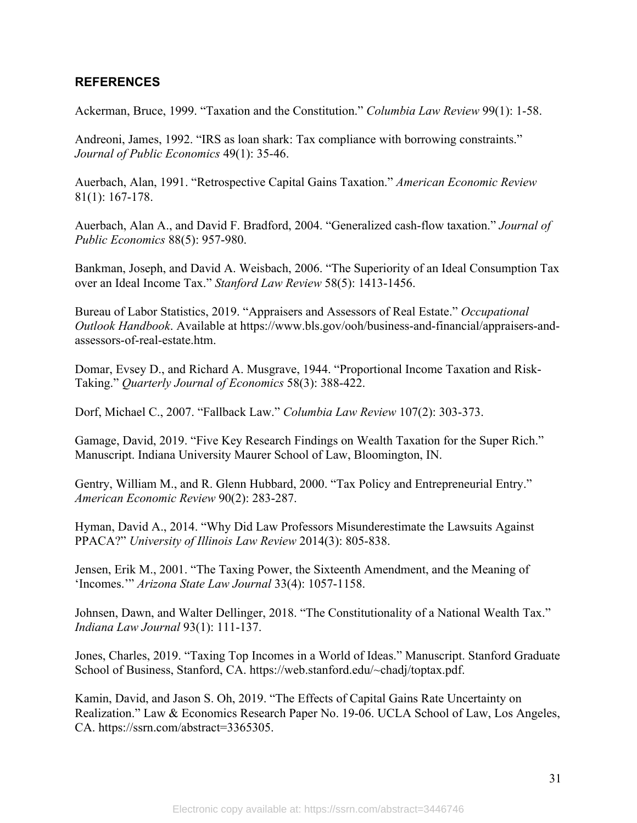# **REFERENCES**

Ackerman, Bruce, 1999. "Taxation and the Constitution." *Columbia Law Review* 99(1): 1-58.

Andreoni, James, 1992. "IRS as loan shark: Tax compliance with borrowing constraints." *Journal of Public Economics* 49(1): 35-46.

Auerbach, Alan, 1991. "Retrospective Capital Gains Taxation." *American Economic Review* 81(1): 167-178.

Auerbach, Alan A., and David F. Bradford, 2004. "Generalized cash-flow taxation." *Journal of Public Economics* 88(5): 957-980.

Bankman, Joseph, and David A. Weisbach, 2006. "The Superiority of an Ideal Consumption Tax over an Ideal Income Tax." *Stanford Law Review* 58(5): 1413-1456.

Bureau of Labor Statistics, 2019. "Appraisers and Assessors of Real Estate." *Occupational Outlook Handbook*. Available at https://www.bls.gov/ooh/business-and-financial/appraisers-andassessors-of-real-estate.htm.

Domar, Evsey D., and Richard A. Musgrave, 1944. "Proportional Income Taxation and Risk-Taking." *Quarterly Journal of Economics* 58(3): 388-422.

Dorf, Michael C., 2007. "Fallback Law." *Columbia Law Review* 107(2): 303-373.

Gamage, David, 2019. "Five Key Research Findings on Wealth Taxation for the Super Rich." Manuscript. Indiana University Maurer School of Law, Bloomington, IN.

Gentry, William M., and R. Glenn Hubbard, 2000. "Tax Policy and Entrepreneurial Entry." *American Economic Review* 90(2): 283-287.

Hyman, David A., 2014. "Why Did Law Professors Misunderestimate the Lawsuits Against PPACA?" *University of Illinois Law Review* 2014(3): 805-838.

Jensen, Erik M., 2001. "The Taxing Power, the Sixteenth Amendment, and the Meaning of 'Incomes.'" *Arizona State Law Journal* 33(4): 1057-1158.

Johnsen, Dawn, and Walter Dellinger, 2018. "The Constitutionality of a National Wealth Tax." *Indiana Law Journal* 93(1): 111-137.

Jones, Charles, 2019. "Taxing Top Incomes in a World of Ideas." Manuscript. Stanford Graduate School of Business, Stanford, CA. https://web.stanford.edu/~chadj/toptax.pdf.

Kamin, David, and Jason S. Oh, 2019. "The Effects of Capital Gains Rate Uncertainty on Realization." Law & Economics Research Paper No. 19-06. UCLA School of Law, Los Angeles, CA. https://ssrn.com/abstract=3365305.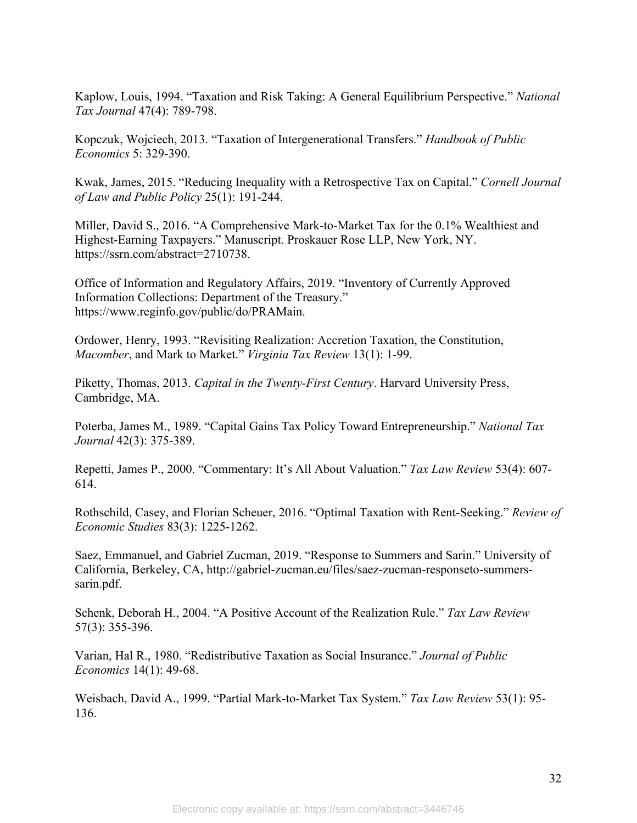Kaplow, Louis, 1994. "Taxation and Risk Taking: A General Equilibrium Perspective." *National Tax Journal* 47(4): 789-798.

Kopczuk, Wojciech, 2013. "Taxation of Intergenerational Transfers." *Handbook of Public Economics* 5: 329-390.

Kwak, James, 2015. "Reducing Inequality with a Retrospective Tax on Capital." *Cornell Journal of Law and Public Policy* 25(1): 191-244.

Miller, David S., 2016. "A Comprehensive Mark-to-Market Tax for the 0.1% Wealthiest and Highest-Earning Taxpayers." Manuscript. Proskauer Rose LLP, New York, NY. https://ssrn.com/abstract=2710738.

Office of Information and Regulatory Affairs, 2019. "Inventory of Currently Approved Information Collections: Department of the Treasury." https://www.reginfo.gov/public/do/PRAMain.

Ordower, Henry, 1993. "Revisiting Realization: Accretion Taxation, the Constitution, *Macomber*, and Mark to Market." *Virginia Tax Review* 13(1): 1-99.

Piketty, Thomas, 2013. *Capital in the Twenty-First Century*. Harvard University Press, Cambridge, MA.

Poterba, James M., 1989. "Capital Gains Tax Policy Toward Entrepreneurship." *National Tax Journal* 42(3): 375-389.

Repetti, James P., 2000. "Commentary: It's All About Valuation." *Tax Law Review* 53(4): 607- 614.

Rothschild, Casey, and Florian Scheuer, 2016. "Optimal Taxation with Rent-Seeking." *Review of Economic Studies* 83(3): 1225-1262.

Saez, Emmanuel, and Gabriel Zucman, 2019. "Response to Summers and Sarin." University of California, Berkeley, CA, http://gabriel-zucman.eu/files/saez-zucman-responseto-summerssarin.pdf.

Schenk, Deborah H., 2004. "A Positive Account of the Realization Rule." *Tax Law Review* 57(3): 355-396.

Varian, Hal R., 1980. "Redistributive Taxation as Social Insurance." *Journal of Public Economics* 14(1): 49-68.

Weisbach, David A., 1999. "Partial Mark-to-Market Tax System." *Tax Law Review* 53(1): 95- 136.